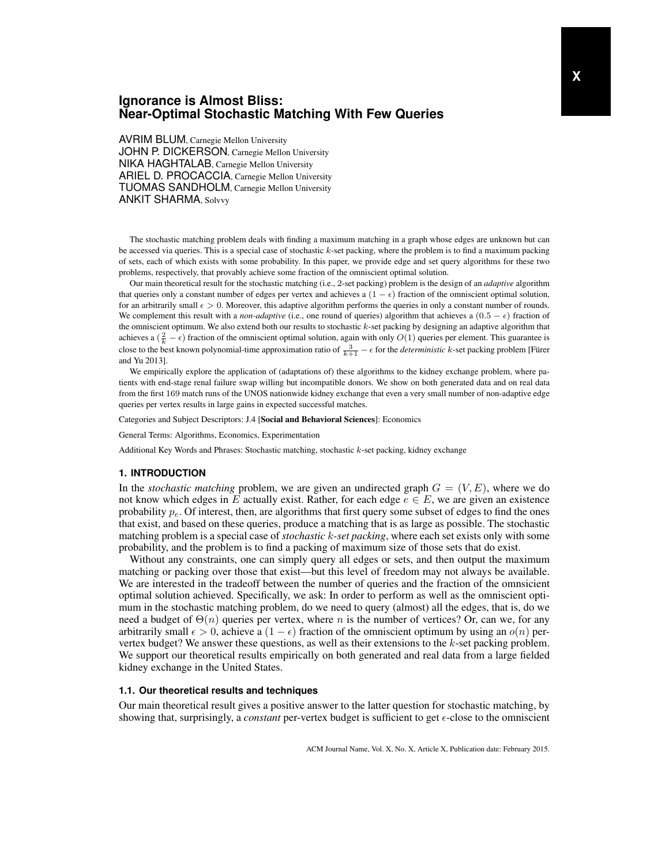# **Ignorance is Almost Bliss: Near-Optimal Stochastic Matching With Few Queries**

AVRIM BLUM, Carnegie Mellon University JOHN P. DICKERSON, Carnegie Mellon University NIKA HAGHTALAB, Carnegie Mellon University ARIEL D. PROCACCIA, Carnegie Mellon University TUOMAS SANDHOLM, Carnegie Mellon University ANKIT SHARMA, Solvvy

The stochastic matching problem deals with finding a maximum matching in a graph whose edges are unknown but can be accessed via queries. This is a special case of stochastic  $k$ -set packing, where the problem is to find a maximum packing of sets, each of which exists with some probability. In this paper, we provide edge and set query algorithms for these two problems, respectively, that provably achieve some fraction of the omniscient optimal solution.

Our main theoretical result for the stochastic matching (i.e., 2-set packing) problem is the design of an *adaptive* algorithm that queries only a constant number of edges per vertex and achieves a  $(1 - \epsilon)$  fraction of the omniscient optimal solution, for an arbitrarily small  $\epsilon > 0$ . Moreover, this adaptive algorithm performs the queries in only a constant number of rounds. We complement this result with a *non-adaptive* (i.e., one round of queries) algorithm that achieves a  $(0.5 - \epsilon)$  fraction of the omniscient optimum. We also extend both our results to stochastic k-set packing by designing an adaptive algorithm that achieves a  $(\frac{2}{k} - \epsilon)$  fraction of the omniscient optimal solution, again with only  $O(1)$  queries per element. This guarantee is close to the best known polynomial-time approximation ratio of  $\frac{3}{k+1} - \epsilon$  for the *deterministic* k-set packing problem [Fürer [and Yu 2013\]](#page-17-0).

We empirically explore the application of (adaptations of) these algorithms to the kidney exchange problem, where patients with end-stage renal failure swap willing but incompatible donors. We show on both generated data and on real data from the first 169 match runs of the UNOS nationwide kidney exchange that even a very small number of non-adaptive edge queries per vertex results in large gains in expected successful matches.

Categories and Subject Descriptors: J.4 [Social and Behavioral Sciences]: Economics

General Terms: Algorithms, Economics, Experimentation

Additional Key Words and Phrases: Stochastic matching, stochastic k-set packing, kidney exchange

## <span id="page-0-0"></span>**1. INTRODUCTION**

In the *stochastic matching* problem, we are given an undirected graph  $G = (V, E)$ , where we do not know which edges in E actually exist. Rather, for each edge  $e \in E$ , we are given an existence probability  $p_e$ . Of interest, then, are algorithms that first query some subset of edges to find the ones that exist, and based on these queries, produce a matching that is as large as possible. The stochastic matching problem is a special case of *stochastic* k*-set packing*, where each set exists only with some probability, and the problem is to find a packing of maximum size of those sets that do exist.

Without any constraints, one can simply query all edges or sets, and then output the maximum matching or packing over those that exist—but this level of freedom may not always be available. We are interested in the tradeoff between the number of queries and the fraction of the omnsicient optimal solution achieved. Specifically, we ask: In order to perform as well as the omniscient optimum in the stochastic matching problem, do we need to query (almost) all the edges, that is, do we need a budget of  $\Theta(n)$  queries per vertex, where n is the number of vertices? Or, can we, for any arbitrarily small  $\epsilon > 0$ , achieve a  $(1 - \epsilon)$  fraction of the omniscient optimum by using an  $o(n)$  pervertex budget? We answer these questions, as well as their extensions to the k-set packing problem. We support our theoretical results empirically on both generated and real data from a large fielded kidney exchange in the United States.

#### **1.1. Our theoretical results and techniques**

Our main theoretical result gives a positive answer to the latter question for stochastic matching, by showing that, surprisingly, a *constant* per-vertex budget is sufficient to get  $\epsilon$ -close to the omniscient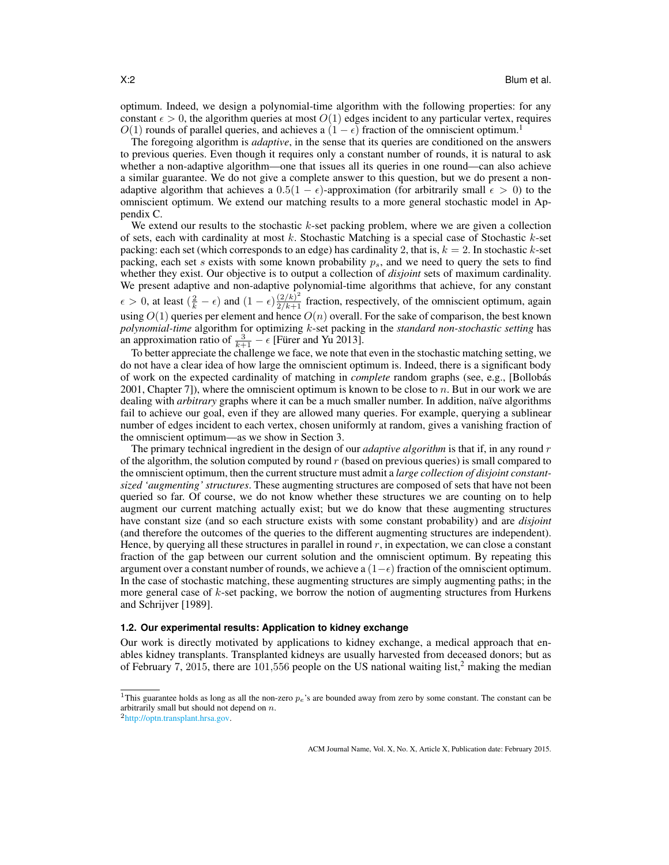optimum. Indeed, we design a polynomial-time algorithm with the following properties: for any constant  $\epsilon > 0$ , the algorithm queries at most  $O(1)$  edges incident to any particular vertex, requires  $O(1)$  $O(1)$  $O(1)$  rounds of parallel queries, and achieves a  $(1 - \epsilon)$  fraction of the omniscient optimum.<sup>1</sup>

The foregoing algorithm is *adaptive*, in the sense that its queries are conditioned on the answers to previous queries. Even though it requires only a constant number of rounds, it is natural to ask whether a non-adaptive algorithm—one that issues all its queries in one round—can also achieve a similar guarantee. We do not give a complete answer to this question, but we do present a nonadaptive algorithm that achieves a  $0.5(1 - \epsilon)$ -approximation (for arbitrarily small  $\epsilon > 0$ ) to the omniscient optimum. We extend our matching results to a more general stochastic model in Appendix [C.](#page-23-0)

We extend our results to the stochastic  $k$ -set packing problem, where we are given a collection of sets, each with cardinality at most k. Stochastic Matching is a special case of Stochastic  $k$ -set packing: each set (which corresponds to an edge) has cardinality 2, that is,  $k = 2$ . In stochastic k-set packing, each set s exists with some known probability  $p_s$ , and we need to query the sets to find whether they exist. Our objective is to output a collection of *disjoint* sets of maximum cardinality. We present adaptive and non-adaptive polynomial-time algorithms that achieve, for any constant  $\epsilon > 0$ , at least  $(\frac{2}{k} - \epsilon)$  and  $(1 - \epsilon) \frac{(2/k)^2}{2/k + 1}$  fraction, respectively, of the omniscient optimum, again using  $O(1)$  queries per element and hence  $O(n)$  overall. For the sake of comparison, the best known *polynomial-time* algorithm for optimizing k-set packing in the *standard non-stochastic setting* has an approximation ratio of  $\frac{3}{k+1} - \epsilon$  [\[Furer and Yu 2013\]](#page-17-0).

To better appreciate the challenge we face, we note that even in the stochastic matching setting, we do not have a clear idea of how large the omniscient optimum is. Indeed, there is a significant body of work on the expected cardinality of matching in *complete* random graphs (see, e.g., [Bollobás [2001,](#page-16-0) Chapter 7]), where the omniscient optimum is known to be close to  $n$ . But in our work we are dealing with *arbitrary* graphs where it can be a much smaller number. In addition, naïve algorithms fail to achieve our goal, even if they are allowed many queries. For example, querying a sublinear number of edges incident to each vertex, chosen uniformly at random, gives a vanishing fraction of the omniscient optimum—as we show in Section [3.](#page-4-0)

The primary technical ingredient in the design of our *adaptive algorithm* is that if, in any round r of the algorithm, the solution computed by round  $r$  (based on previous queries) is small compared to the omniscient optimum, then the current structure must admit a *large collection of disjoint constantsized 'augmenting' structures*. These augmenting structures are composed of sets that have not been queried so far. Of course, we do not know whether these structures we are counting on to help augment our current matching actually exist; but we do know that these augmenting structures have constant size (and so each structure exists with some constant probability) and are *disjoint* (and therefore the outcomes of the queries to the different augmenting structures are independent). Hence, by querying all these structures in parallel in round  $r$ , in expectation, we can close a constant fraction of the gap between our current solution and the omniscient optimum. By repeating this argument over a constant number of rounds, we achieve a  $(1-\epsilon)$  fraction of the omniscient optimum. In the case of stochastic matching, these augmenting structures are simply augmenting paths; in the more general case of k-set packing, we borrow the notion of augmenting structures from [Hurkens](#page-17-1) [and Schrijver](#page-17-1) [\[1989\]](#page-17-1).

#### **1.2. Our experimental results: Application to kidney exchange**

Our work is directly motivated by applications to kidney exchange, a medical approach that enables kidney transplants. Transplanted kidneys are usually harvested from deceased donors; but as of February 7, [2](#page-1-1)015, there are 101,556 people on the US national waiting list,<sup>2</sup> making the median

<span id="page-1-0"></span><sup>&</sup>lt;sup>1</sup>This guarantee holds as long as all the non-zero  $p_e$ 's are bounded away from zero by some constant. The constant can be arbitrarily small but should not depend on  $n$ .

<span id="page-1-1"></span><sup>2</sup>[http://optn.transplant.hrsa.gov.](http://optn.transplant.hrsa.gov)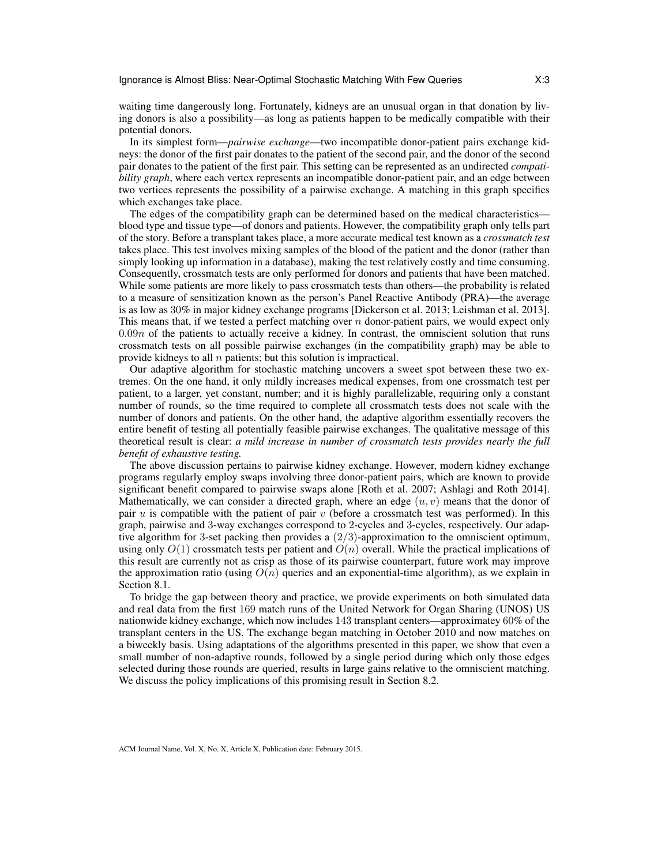waiting time dangerously long. Fortunately, kidneys are an unusual organ in that donation by living donors is also a possibility—as long as patients happen to be medically compatible with their potential donors.

In its simplest form—*pairwise exchange*—two incompatible donor-patient pairs exchange kidneys: the donor of the first pair donates to the patient of the second pair, and the donor of the second pair donates to the patient of the first pair. This setting can be represented as an undirected *compatibility graph*, where each vertex represents an incompatible donor-patient pair, and an edge between two vertices represents the possibility of a pairwise exchange. A matching in this graph specifies which exchanges take place.

The edges of the compatibility graph can be determined based on the medical characteristics blood type and tissue type—of donors and patients. However, the compatibility graph only tells part of the story. Before a transplant takes place, a more accurate medical test known as a *crossmatch test* takes place. This test involves mixing samples of the blood of the patient and the donor (rather than simply looking up information in a database), making the test relatively costly and time consuming. Consequently, crossmatch tests are only performed for donors and patients that have been matched. While some patients are more likely to pass crossmatch tests than others—the probability is related to a measure of sensitization known as the person's Panel Reactive Antibody (PRA)—the average is as low as 30% in major kidney exchange programs [\[Dickerson et al. 2013;](#page-17-2) [Leishman et al. 2013\]](#page-17-3). This means that, if we tested a perfect matching over  $n$  donor-patient pairs, we would expect only  $0.09n$  of the patients to actually receive a kidney. In contrast, the omniscient solution that runs crossmatch tests on all possible pairwise exchanges (in the compatibility graph) may be able to provide kidneys to all  $n$  patients; but this solution is impractical.

Our adaptive algorithm for stochastic matching uncovers a sweet spot between these two extremes. On the one hand, it only mildly increases medical expenses, from one crossmatch test per patient, to a larger, yet constant, number; and it is highly parallelizable, requiring only a constant number of rounds, so the time required to complete all crossmatch tests does not scale with the number of donors and patients. On the other hand, the adaptive algorithm essentially recovers the entire benefit of testing all potentially feasible pairwise exchanges. The qualitative message of this theoretical result is clear: *a mild increase in number of crossmatch tests provides nearly the full benefit of exhaustive testing.*

The above discussion pertains to pairwise kidney exchange. However, modern kidney exchange programs regularly employ swaps involving three donor-patient pairs, which are known to provide significant benefit compared to pairwise swaps alone [\[Roth et al. 2007;](#page-17-4) [Ashlagi and Roth 2014\]](#page-16-1). Mathematically, we can consider a directed graph, where an edge  $(u, v)$  means that the donor of pair  $u$  is compatible with the patient of pair  $v$  (before a crossmatch test was performed). In this graph, pairwise and 3-way exchanges correspond to 2-cycles and 3-cycles, respectively. Our adaptive algorithm for 3-set packing then provides a  $(2/3)$ -approximation to the omniscient optimum, using only  $O(1)$  crossmatch tests per patient and  $O(n)$  overall. While the practical implications of this result are currently not as crisp as those of its pairwise counterpart, future work may improve the approximation ratio (using  $O(n)$  queries and an exponential-time algorithm), as we explain in Section [8.1.](#page-15-0)

To bridge the gap between theory and practice, we provide experiments on both simulated data and real data from the first 169 match runs of the United Network for Organ Sharing (UNOS) US nationwide kidney exchange, which now includes 143 transplant centers—approximatey 60% of the transplant centers in the US. The exchange began matching in October 2010 and now matches on a biweekly basis. Using adaptations of the algorithms presented in this paper, we show that even a small number of non-adaptive rounds, followed by a single period during which only those edges selected during those rounds are queried, results in large gains relative to the omniscient matching. We discuss the policy implications of this promising result in Section [8.2.](#page-15-1)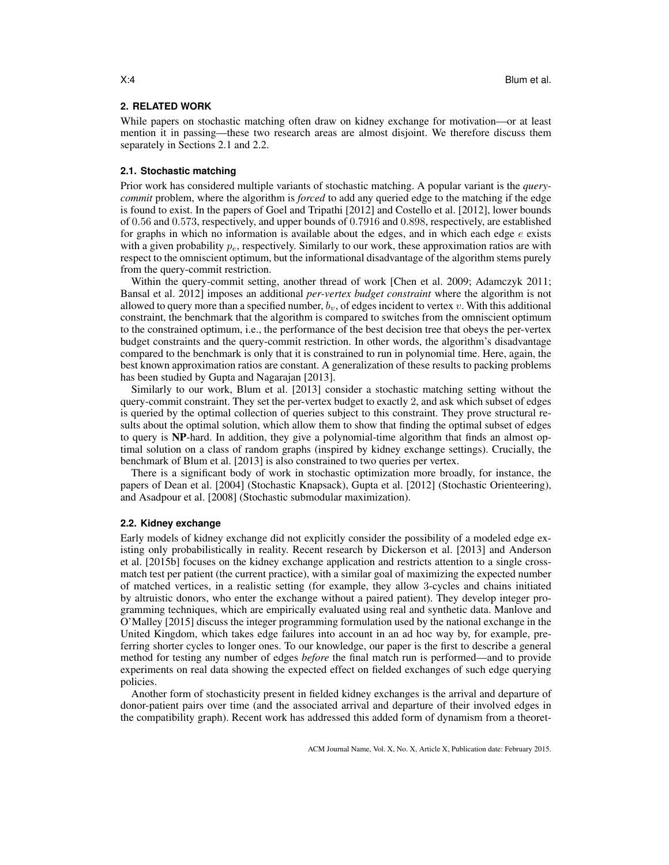# **2. RELATED WORK**

While papers on stochastic matching often draw on kidney exchange for motivation—or at least mention it in passing—these two research areas are almost disjoint. We therefore discuss them separately in Sections [2.1](#page-3-0) and [2.2.](#page-3-1)

# <span id="page-3-0"></span>**2.1. Stochastic matching**

Prior work has considered multiple variants of stochastic matching. A popular variant is the *querycommit* problem, where the algorithm is *forced* to add any queried edge to the matching if the edge is found to exist. In the papers of [Goel and Tripathi](#page-17-5) [\[2012\]](#page-17-5) and [Costello et al.](#page-17-6) [\[2012\]](#page-17-6), lower bounds of 0.56 and 0.573, respectively, and upper bounds of 0.7916 and 0.898, respectively, are established for graphs in which no information is available about the edges, and in which each edge  $e$  exists with a given probability  $p_e$ , respectively. Similarly to our work, these approximation ratios are with respect to the omniscient optimum, but the informational disadvantage of the algorithm stems purely from the query-commit restriction.

Within the query-commit setting, another thread of work [\[Chen et al. 2009;](#page-16-2) [Adamczyk 2011;](#page-16-3) [Bansal et al. 2012\]](#page-16-4) imposes an additional *per-vertex budget constraint* where the algorithm is not allowed to query more than a specified number,  $b_v$ , of edges incident to vertex v. With this additional constraint, the benchmark that the algorithm is compared to switches from the omniscient optimum to the constrained optimum, i.e., the performance of the best decision tree that obeys the per-vertex budget constraints and the query-commit restriction. In other words, the algorithm's disadvantage compared to the benchmark is only that it is constrained to run in polynomial time. Here, again, the best known approximation ratios are constant. A generalization of these results to packing problems has been studied by [Gupta and Nagarajan](#page-17-7) [\[2013\]](#page-17-7).

Similarly to our work, [Blum et al.](#page-16-5) [\[2013\]](#page-16-5) consider a stochastic matching setting without the query-commit constraint. They set the per-vertex budget to exactly 2, and ask which subset of edges is queried by the optimal collection of queries subject to this constraint. They prove structural results about the optimal solution, which allow them to show that finding the optimal subset of edges to query is NP-hard. In addition, they give a polynomial-time algorithm that finds an almost optimal solution on a class of random graphs (inspired by kidney exchange settings). Crucially, the benchmark of [Blum et al.](#page-16-5) [\[2013\]](#page-16-5) is also constrained to two queries per vertex.

There is a significant body of work in stochastic optimization more broadly, for instance, the papers of [Dean et al.](#page-17-8) [\[2004\]](#page-17-8) (Stochastic Knapsack), [Gupta et al.](#page-17-9) [\[2012\]](#page-17-9) (Stochastic Orienteering), and [Asadpour et al.](#page-16-6) [\[2008\]](#page-16-6) (Stochastic submodular maximization).

# <span id="page-3-1"></span>**2.2. Kidney exchange**

Early models of kidney exchange did not explicitly consider the possibility of a modeled edge existing only probabilistically in reality. Recent research by [Dickerson et al.](#page-17-2) [\[2013\]](#page-17-2) and [Anderson](#page-16-7) [et al.](#page-16-7) [\[2015b\]](#page-16-7) focuses on the kidney exchange application and restricts attention to a single crossmatch test per patient (the current practice), with a similar goal of maximizing the expected number of matched vertices, in a realistic setting (for example, they allow 3-cycles and chains initiated by altruistic donors, who enter the exchange without a paired patient). They develop integer programming techniques, which are empirically evaluated using real and synthetic data. [Manlove and](#page-17-10) [O'Malley](#page-17-10) [\[2015\]](#page-17-10) discuss the integer programming formulation used by the national exchange in the United Kingdom, which takes edge failures into account in an ad hoc way by, for example, preferring shorter cycles to longer ones. To our knowledge, our paper is the first to describe a general method for testing any number of edges *before* the final match run is performed—and to provide experiments on real data showing the expected effect on fielded exchanges of such edge querying policies.

Another form of stochasticity present in fielded kidney exchanges is the arrival and departure of donor-patient pairs over time (and the associated arrival and departure of their involved edges in the compatibility graph). Recent work has addressed this added form of dynamism from a theoret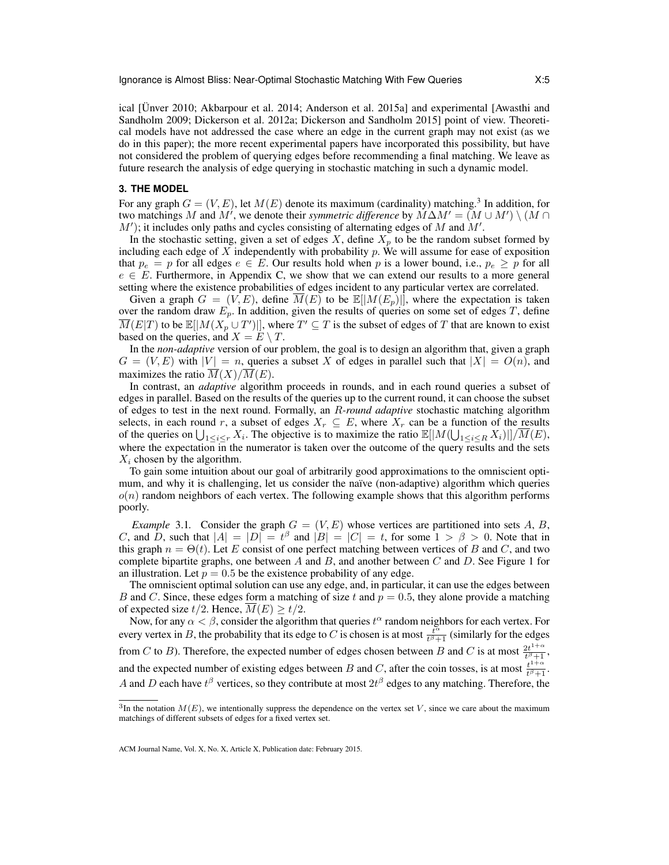Ignorance is Almost Bliss: Near-Optimal Stochastic Matching With Few Queries X:5

ical [Ünver 2010; [Akbarpour et al. 2014;](#page-16-8) [Anderson et al. 2015a\]](#page-16-9) and experimental [\[Awasthi and](#page-16-10) [Sandholm 2009;](#page-16-10) [Dickerson et al. 2012a;](#page-17-12) [Dickerson and Sandholm 2015\]](#page-17-13) point of view. Theoretical models have not addressed the case where an edge in the current graph may not exist (as we do in this paper); the more recent experimental papers have incorporated this possibility, but have not considered the problem of querying edges before recommending a final matching. We leave as future research the analysis of edge querying in stochastic matching in such a dynamic model.

# <span id="page-4-0"></span>**3. THE MODEL**

For any graph  $G = (V, E)$ , let  $M(E)$  denote its maximum (cardinality) matching.<sup>[3](#page-4-1)</sup> In addition, for two matchings M and M', we denote their *symmetric difference* by  $\overline{M}\Delta M' = (M \cup M') \setminus (M \cap$  $M'$ ); it includes only paths and cycles consisting of alternating edges of M and  $M'$ .

In the stochastic setting, given a set of edges X, define  $X_p$  to be the random subset formed by including each edge of  $X$  independently with probability  $p$ . We will assume for ease of exposition that  $p_e = p$  for all edges  $e \in E$ . Our results hold when p is a lower bound, i.e.,  $p_e \geq p$  for all  $e \in E$ . Furthermore, in Appendix [C,](#page-23-0) we show that we can extend our results to a more general setting where the existence probabilities of edges incident to any particular vertex are correlated.

Given a graph  $G = (V, E)$ , define  $\overline{M}(E)$  to be  $\mathbb{E}[|M(E_p)|]$ , where the expectation is taken over the random draw  $E_p$ . In addition, given the results of queries on some set of edges  $T$ , define  $\overline{M}(E|T)$  to be  $\mathbb{E}[|M(X_p \cup T')|]$ , where  $T' \subseteq T$  is the subset of edges of  $T$  that are known to exist based on the queries, and  $X = E \setminus T$ .

In the *non-adaptive* version of our problem, the goal is to design an algorithm that, given a graph  $G = (V, E)$  with  $|V| = n$ , queries a subset X of edges in parallel such that  $|X| = O(n)$ , and maximizes the ratio  $\overline{M}(X)/\overline{M}(E)$ .

In contrast, an *adaptive* algorithm proceeds in rounds, and in each round queries a subset of edges in parallel. Based on the results of the queries up to the current round, it can choose the subset of edges to test in the next round. Formally, an R*-round adaptive* stochastic matching algorithm selects, in each round r, a subset of edges  $X_r \subseteq E$ , where  $X_r$  can be a function of the results of the queries on  $\bigcup_{1 \le i \le r} X_i$ . The objective is to maximize the ratio  $\mathbb{E}[|M(\bigcup_{1 \le i \le R} X_i)|]/\overline{M}(E)$ , where the expectation in the numerator is taken over the outcome of the query results and the sets  $X_i$  chosen by the algorithm.

To gain some intuition about our goal of arbitrarily good approximations to the omniscient optimum, and why it is challenging, let us consider the naïve (non-adaptive) algorithm which queries  $o(n)$  random neighbors of each vertex. The following example shows that this algorithm performs poorly.

<span id="page-4-2"></span>*Example* 3.1. Consider the graph  $G = (V, E)$  whose vertices are partitioned into sets A, B, C, and D, such that  $|A| = |D| = t^{\beta}$  and  $|B| = |C| = t$ , for some  $1 > \beta > 0$ . Note that in this graph  $n = \Theta(t)$ . Let E consist of one perfect matching between vertices of B and C, and two complete bipartite graphs, one between A and B, and another between C and D. See Figure [1](#page-5-0) for an illustration. Let  $p = 0.5$  be the existence probability of any edge.

The omniscient optimal solution can use any edge, and, in particular, it can use the edges between B and C. Since, these edges form a matching of size t and  $p = 0.5$ , they alone provide a matching of expected size  $t/2$ . Hence,  $\overline{M}(E) \ge t/2$ .

Now, for any  $\alpha < \beta$ , consider the algorithm that queries  $t^{\alpha}$  random neighbors for each vertex. For every vertex in B, the probability that its edge to C is chosen is at most  $\frac{t^{\alpha}}{t^{\beta}+1}$  $\frac{t^{\alpha}}{t^{\beta}+1}$  (similarly for the edges from C to B). Therefore, the expected number of edges chosen between B and C is at most  $\frac{2t^{1+\alpha}}{t^{\beta}+1}$  $\frac{2t^{1-\alpha}}{t^{\beta}+1},$ and the expected number of existing edges between B and C, after the coin tosses, is at most  $\frac{t^{1+\alpha}}{t^{\beta}+1}$  $rac{t^{1+\alpha}}{t^{\beta}+1}$ . A and D each have  $t^{\beta}$  vertices, so they contribute at most  $2t^{\beta}$  edges to any matching. Therefore, the

<span id="page-4-1"></span> ${}^{3}$ In the notation  $M(E)$ , we intentionally suppress the dependence on the vertex set V, since we care about the maximum matchings of different subsets of edges for a fixed vertex set.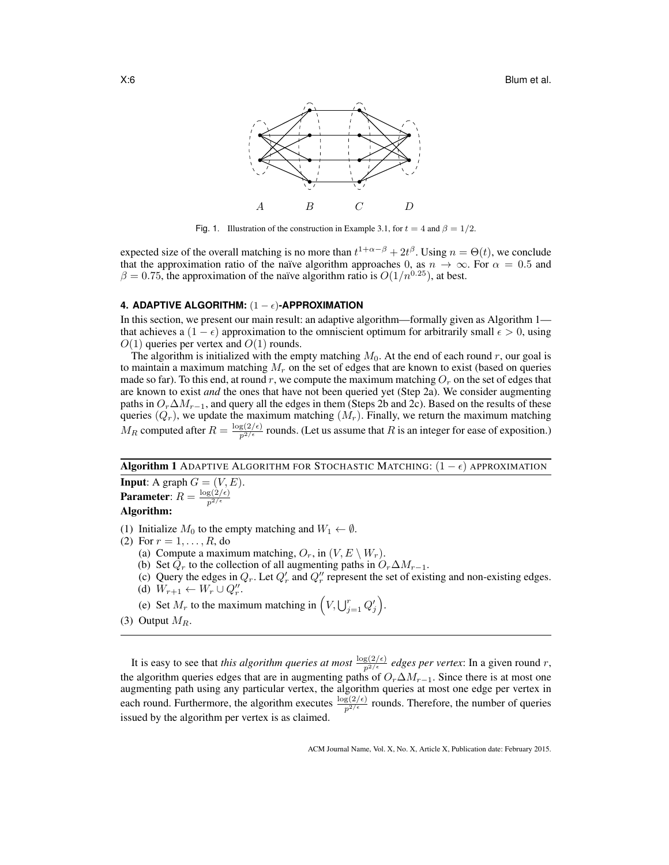X:6 Blum et al.

<span id="page-5-0"></span>

Fig. 1. Illustration of the construction in Example [3.1,](#page-4-2) for  $t = 4$  and  $\beta = 1/2$ .

expected size of the overall matching is no more than  $t^{1+\alpha-\beta} + 2t^{\beta}$ . Using  $n = \Theta(t)$ , we conclude that the approximation ratio of the naïve algorithm approaches 0, as  $n \to \infty$ . For  $\alpha = 0.5$  and  $\beta = 0.75$ , the approximation of the naïve algorithm ratio is  $O(1/n^{0.25})$ , at best.

#### <span id="page-5-5"></span>**4. ADAPTIVE ALGORITHM: (1 −**  $\epsilon$ **)-APPROXIMATION**

In this section, we present our main result: an adaptive algorithm—formally given as Algorithm [1](#page-5-1) that achieves a  $(1 - \epsilon)$  approximation to the omniscient optimum for arbitrarily small  $\epsilon > 0$ , using  $O(1)$  queries per vertex and  $O(1)$  rounds.

The algorithm is initialized with the empty matching  $M_0$ . At the end of each round r, our goal is to maintain a maximum matching  $M_r$  on the set of edges that are known to exist (based on queries made so far). To this end, at round r, we compute the maximum matching  $O_r$  on the set of edges that are known to exist *and* the ones that have not been queried yet (Step [2a\)](#page-5-2). We consider augmenting paths in  $O_r\Delta M_{r-1}$ , and query all the edges in them (Steps [2b](#page-5-3) and [2c\)](#page-5-4). Based on the results of these queries  $(Q_r)$ , we update the maximum matching  $(M_r)$ . Finally, we return the maximum matching  $M_R$  computed after  $R = \frac{\log(2/\epsilon)}{p^{2/\epsilon}}$  rounds. (Let us assume that R is an integer for ease of exposition.)

# **Algorithm 1** ADAPTIVE ALGORITHM FOR STOCHASTIC MATCHING:  $(1 - \epsilon)$  APPROXIMATION

<span id="page-5-1"></span>**Input:** A graph  $G = (V, \overline{E})$ . **Parameter**:  $R = \frac{\log(2/\epsilon)}{n^{2/\epsilon}}$  $p^{2/\epsilon}$ Algorithm:

- (1) Initialize  $M_0$  to the empty matching and  $W_1 \leftarrow \emptyset$ .
- <span id="page-5-4"></span><span id="page-5-3"></span><span id="page-5-2"></span>(2) For  $r = 1, ..., R$ , do
	- (a) Compute a maximum matching,  $O_r$ , in  $(V, E \setminus W_r)$ .
	- (b) Set  $Q_r$  to the collection of all augmenting paths in  $O_r \Delta M_{r-1}$ .
	- (c) Query the edges in  $Q_r$ . Let  $Q'_r$  and  $Q''_r$  represent the set of existing and non-existing edges. (d)  $W_{r+1} \leftarrow W_r \cup Q_r''$ .
	- (e) Set  $M_r$  to the maximum matching in  $(V, \bigcup_{j=1}^r Q'_j)$ .
- (3) Output  $M_R$ .

It is easy to see that *this algorithm queries at most*  $\frac{\log(2/\epsilon)}{p^{2/\epsilon}}$  *edges per vertex*: In a given round r, the algorithm queries edges that are in augmenting paths of  $O<sub>r</sub> \Delta M<sub>r-1</sub>$ . Since there is at most one augmenting path using any particular vertex, the algorithm queries at most one edge per vertex in each round. Furthermore, the algorithm executes  $\frac{\log(2/\epsilon)}{p^{2/\epsilon}}$  rounds. Therefore, the number of queries issued by the algorithm per vertex is as claimed.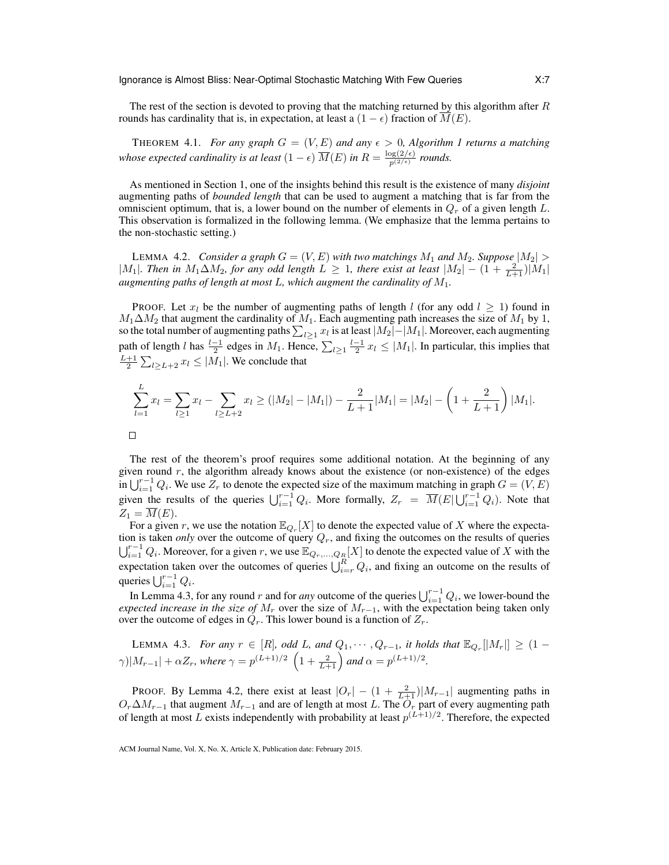Ignorance is Almost Bliss: Near-Optimal Stochastic Matching With Few Queries X:7

The rest of the section is devoted to proving that the matching returned by this algorithm after  $R$ rounds has cardinality that is, in expectation, at least a  $(1 - \epsilon)$  fraction of  $M(E)$ .

<span id="page-6-2"></span>THEOREM 4.1. *For any graph*  $G = (V, E)$  *and any*  $\epsilon > 0$ , Algorithm [1](#page-5-1) returns a matching *whose expected cardinality is at least*  $(1 - \epsilon)$   $\overline{M}(E)$  *in*  $R = \frac{\log(2/\epsilon)}{p^{(2/\epsilon)}}$  *rounds.* 

As mentioned in Section [1,](#page-0-0) one of the insights behind this result is the existence of many *disjoint* augmenting paths of *bounded length* that can be used to augment a matching that is far from the omniscient optimum, that is, a lower bound on the number of elements in  $Q_r$  of a given length L. This observation is formalized in the following lemma. (We emphasize that the lemma pertains to the non-stochastic setting.)

<span id="page-6-1"></span>LEMMA 4.2. *Consider a graph*  $G = (V, E)$  *with two matchings*  $M_1$  *and*  $M_2$ *. Suppose*  $|M_2| >$  $|M_1|$ *. Then in*  $M_1 \Delta M_2$ *, for any odd length*  $L \geq 1$ *, there exist at least*  $|M_2| - (1 + \frac{2}{L+1})|M_1|$ *augmenting paths of length at most* L*, which augment the cardinality of* M1*.*

PROOF. Let  $x_l$  be the number of augmenting paths of length l (for any odd  $l \geq 1$ ) found in  $M_1 \Delta M_2$  that augment the cardinality of  $M_1$ . Each augmenting path increases the size of  $M_1$  by 1, so the total number of augmenting paths  $\sum_{l\geq 1} x_l$  is at least  $|M_2|-|M_1|$ . Moreover, each augmenting path of length l has  $\frac{l-1}{2}$  edges in  $M_1$ . Hence,  $\sum_{l\geq 1} \frac{l-1}{2} x_l \leq |M_1|$ . In particular, this implies that  $\frac{L+1}{2} \sum_{l \ge L+2} x_l \le |M_1|$ . We conclude that

$$
\sum_{l=1}^{L} x_l = \sum_{l \ge 1} x_l - \sum_{l \ge L+2} x_l \ge (|M_2| - |M_1|) - \frac{2}{L+1}|M_1| = |M_2| - \left(1 + \frac{2}{L+1}\right)|M_1|.
$$

The rest of the theorem's proof requires some additional notation. At the beginning of any given round  $r$ , the algorithm already knows about the existence (or non-existence) of the edges in  $\bigcup_{i=1}^{r-1} Q_i$ . We use  $Z_r$  to denote the expected size of the maximum matching in graph  $G = (V, E)$ given the results of the queries  $\bigcup_{i=1}^{r-1} Q_i$ . More formally,  $Z_r = \overline{M}(E \bigcup_{i=1}^{r-1} Q_i)$ . Note that  $Z_1 = \overline{M}(E).$ 

For a given r, we use the notation  $\mathbb{E}_{Q_r}[X]$  to denote the expected value of X where the expectation is taken *only* over the outcome of query  $Q_r$ , and fixing the outcomes on the results of queries  $\bigcup_{i=1}^{r-1} Q_i$ . Moreover, for a given r, we use  $\mathbb{E}_{Q_r,...,Q_R}[X]$  to denote the expected value of X with the expectation taken over the outcomes of queries  $\bigcup_{i=r}^{R} Q_i$ , and fixing an outcome on the results of queries  $\bigcup_{i=1}^{r-1} Q_i$ .

In Lemma [4.3,](#page-6-0) for any round r and for *any* outcome of the queries  $\bigcup_{i=1}^{r-1} Q_i$ , we lower-bound the *expected increase in the size of*  $M_r$  over the size of  $M_{r-1}$ , with the expectation being taken only over the outcome of edges in  $Q_r$ . This lower bound is a function of  $Z_r$ .

<span id="page-6-0"></span>LEMMA 4.3. *For any*  $r \in [R]$ , odd L, and  $Q_1, \dots, Q_{r-1}$ , it holds that  $\mathbb{E}_{Q_r}[|M_r|] \geq (1 \gamma$ )| $M_{r-1}| + \alpha Z_r$ , where  $\gamma = p^{(L+1)/2} \left(1 + \frac{2}{L+1}\right)$  and  $\alpha = p^{(L+1)/2}$ .

PROOF. By Lemma [4.2,](#page-6-1) there exist at least  $|O_r| - (1 + \frac{2}{L+1})|M_{r-1}|$  augmenting paths in  $O_r\Delta M_{r-1}$  that augment  $M_{r-1}$  and are of length at most L. The  $O_r$  part of every augmenting path of length at most L exists independently with probability at least  $p^{(L+1)/2}$ . Therefore, the expected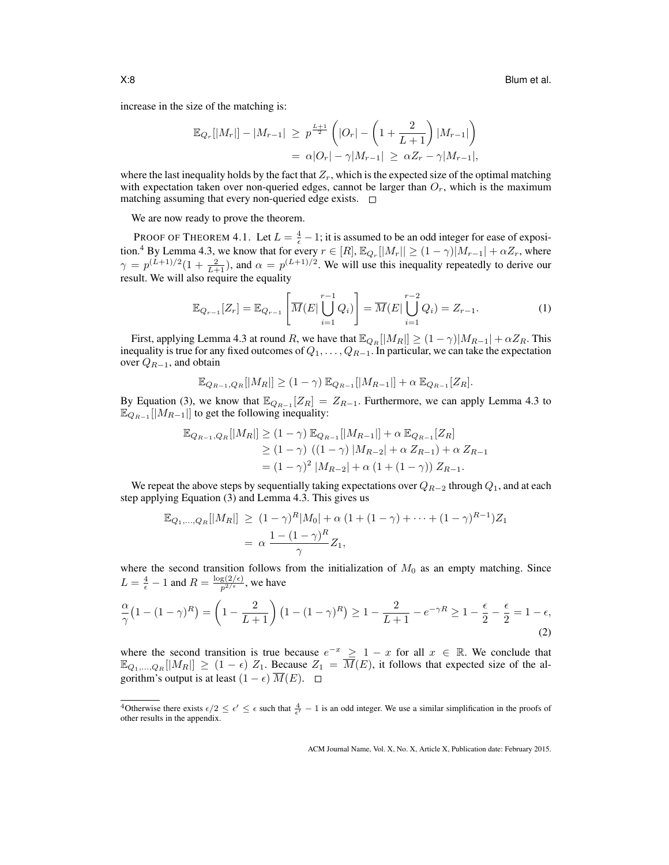X:8 Blum et al.

increase in the size of the matching is:

$$
\mathbb{E}_{Q_r}[|M_r|] - |M_{r-1}| \ge p^{\frac{L+1}{2}} \left( |O_r| - \left(1 + \frac{2}{L+1}\right)|M_{r-1}|\right) \n= \alpha|O_r| - \gamma|M_{r-1}| \ge \alpha Z_r - \gamma|M_{r-1}|,
$$

where the last inequality holds by the fact that  $Z_r$ , which is the expected size of the optimal matching with expectation taken over non-queried edges, cannot be larger than  $O_r$ , which is the maximum matching assuming that every non-queried edge exists.  $\square$ 

We are now ready to prove the theorem.

PROOF OF THEOREM [4.1.](#page-6-2) Let  $L = \frac{4}{\epsilon} - 1$ ; it is assumed to be an odd integer for ease of exposi-tion.<sup>[4](#page-7-0)</sup> By Lemma [4.3,](#page-6-0) we know that for every  $r \in [R]$ ,  $\mathbb{E}_{Q_r}[|M_r|] \ge (1 - \gamma)|M_{r-1}| + \alpha Z_r$ , where  $\gamma = p^{(L+1)/2}(1 + \frac{2}{L+1})$ , and  $\alpha = p^{(L+1)/2}$ . We will use this inequality repeatedly to derive our result. We will also require the equality

$$
\mathbb{E}_{Q_{r-1}}[Z_r] = \mathbb{E}_{Q_{r-1}}\left[\overline{M}(E|\bigcup_{i=1}^{r-1} Q_i)\right] = \overline{M}(E|\bigcup_{i=1}^{r-2} Q_i) = Z_{r-1}.
$$
 (1)

First, applying Lemma [4.3](#page-6-0) at round R, we have that  $\mathbb{E}_{Q_R}[|M_R|] \ge (1 - \gamma)|M_{R-1}| + \alpha Z_R$ . This inequality is true for any fixed outcomes of  $Q_1, \ldots, Q_{R-1}$ . In particular, we can take the expectation over  $Q_{R-1}$ , and obtain

$$
\mathbb{E}_{Q_{R-1},Q_R}[|M_R|] \ge (1-\gamma) \mathbb{E}_{Q_{R-1}}[|M_{R-1}|] + \alpha \mathbb{E}_{Q_{R-1}}[Z_R].
$$

By Equation [\(3\)](#page-10-0), we know that  $\mathbb{E}_{Q_{R-1}}[Z_R] = Z_{R-1}$ . Furthermore, we can apply Lemma [4.3](#page-6-0) to  $\mathbb{E}_{Q_{R-1}}[|M_{R-1}|]$  to get the following inequality:

$$
\mathbb{E}_{Q_{R-1},Q_R}[|M_R|] \ge (1-\gamma) \mathbb{E}_{Q_{R-1}}[|M_{R-1}|] + \alpha \mathbb{E}_{Q_{R-1}}[Z_R]
$$
  
\n
$$
\ge (1-\gamma) ((1-\gamma) |M_{R-2}| + \alpha Z_{R-1}) + \alpha Z_{R-1}
$$
  
\n
$$
= (1-\gamma)^2 |M_{R-2}| + \alpha (1 + (1-\gamma)) Z_{R-1}.
$$

We repeat the above steps by sequentially taking expectations over  $Q_{R-2}$  through  $Q_1$ , and at each step applying Equation [\(3\)](#page-10-0) and Lemma [4.3.](#page-6-0) This gives us

$$
\mathbb{E}_{Q_1,...,Q_R}[|M_R|] \ge (1-\gamma)^R |M_0| + \alpha (1 + (1-\gamma) + \dots + (1-\gamma)^{R-1}) Z_1
$$
  
=  $\alpha \frac{1 - (1-\gamma)^R}{\gamma} Z_1$ ,

where the second transition follows from the initialization of  $M_0$  as an empty matching. Since  $L = \frac{4}{\epsilon} - 1$  and  $R = \frac{\log(2/\epsilon)}{p^{2/\epsilon}}$ , we have

$$
\frac{\alpha}{\gamma} \left(1 - (1 - \gamma)^R\right) = \left(1 - \frac{2}{L+1}\right) \left(1 - (1 - \gamma)^R\right) \ge 1 - \frac{2}{L+1} - e^{-\gamma R} \ge 1 - \frac{\epsilon}{2} - \frac{\epsilon}{2} = 1 - \epsilon,
$$
\n(2)

where the second transition is true because  $e^{-x} \geq 1 - x$  for all  $x \in \mathbb{R}$ . We conclude that  $\mathbb{E}_{Q_1,...,Q_R}[|M_R|] \geq (1-\epsilon) Z_1$ . Because  $Z_1 = \overline{M}(E)$ , it follows that expected size of the algorithm's output is at least  $(1 - \epsilon) \overline{M}(E)$ .  $\Box$ 

<span id="page-7-0"></span><sup>&</sup>lt;sup>4</sup>Otherwise there exists  $\epsilon/2 \leq \epsilon' \leq \epsilon$  such that  $\frac{4}{\epsilon'} - 1$  is an odd integer. We use a similar simplification in the proofs of other results in the appendix.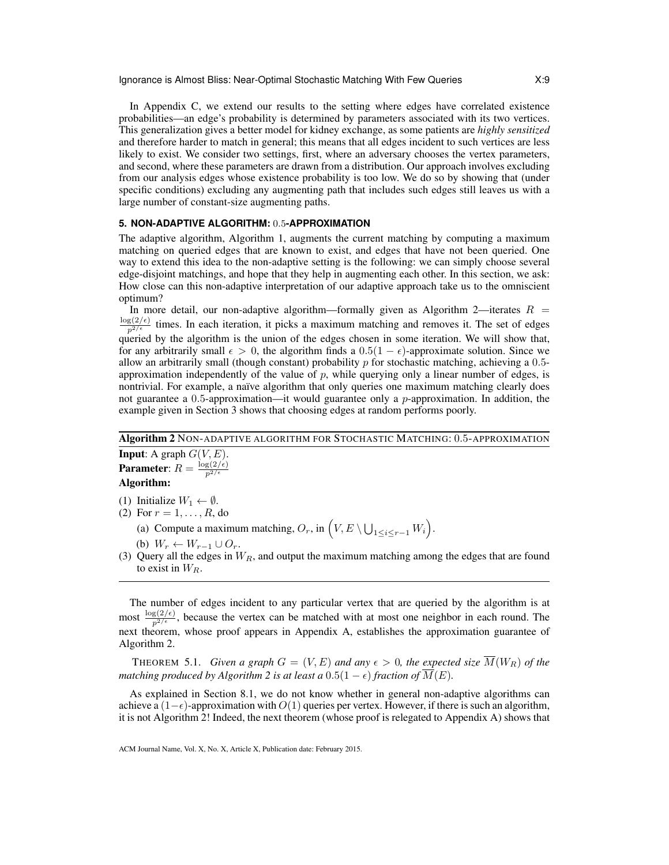Ignorance is Almost Bliss: Near-Optimal Stochastic Matching With Few Queries X:9

In Appendix [C,](#page-23-0) we extend our results to the setting where edges have correlated existence probabilities—an edge's probability is determined by parameters associated with its two vertices. This generalization gives a better model for kidney exchange, as some patients are *highly sensitized* and therefore harder to match in general; this means that all edges incident to such vertices are less likely to exist. We consider two settings, first, where an adversary chooses the vertex parameters, and second, where these parameters are drawn from a distribution. Our approach involves excluding from our analysis edges whose existence probability is too low. We do so by showing that (under specific conditions) excluding any augmenting path that includes such edges still leaves us with a large number of constant-size augmenting paths.

# <span id="page-8-2"></span>**5. NON-ADAPTIVE ALGORITHM:** 0.5**-APPROXIMATION**

The adaptive algorithm, Algorithm [1,](#page-5-1) augments the current matching by computing a maximum matching on queried edges that are known to exist, and edges that have not been queried. One way to extend this idea to the non-adaptive setting is the following: we can simply choose several edge-disjoint matchings, and hope that they help in augmenting each other. In this section, we ask: How close can this non-adaptive interpretation of our adaptive approach take us to the omniscient optimum?

In more detail, our non-adaptive algorithm—formally given as Algorithm [2—](#page-8-0)iterates  $R =$  $\frac{\log(2/\epsilon)}{p^{2/\epsilon}}$  times. In each iteration, it picks a maximum matching and removes it. The set of edges queried by the algorithm is the union of the edges chosen in some iteration. We will show that, for any arbitrarily small  $\epsilon > 0$ , the algorithm finds a  $0.5(1 - \epsilon)$ -approximate solution. Since we allow an arbitrarily small (though constant) probability p for stochastic matching, achieving a  $0.5$ approximation independently of the value of  $p$ , while querying only a linear number of edges, is nontrivial. For example, a naïve algorithm that only queries one maximum matching clearly does not guarantee a 0.5-approximation—it would guarantee only a p-approximation. In addition, the example given in Section [3](#page-4-0) shows that choosing edges at random performs poorly.

Algorithm 2 NON-ADAPTIVE ALGORITHM FOR STOCHASTIC MATCHING: 0.5-APPROXIMATION

<span id="page-8-0"></span>**Input:** A graph  $G(V, E)$ . **Parameter**:  $R = \frac{\log(2/\epsilon)}{n^{2/\epsilon}}$  $p^{2/\epsilon}$ Algorithm:

- (1) Initialize  $W_1 \leftarrow \emptyset$ . (2) For  $r = 1, ..., R$ , do
- - (a) Compute a maximum matching,  $O_r$ , in  $\left(V, E \setminus \bigcup_{1 \leq i \leq r-1} W_i\right)$ . (b)  $W_r \leftarrow W_{r-1} \cup O_r$ .
- (3) Query all the edges in  $W_R$ , and output the maximum matching among the edges that are found to exist in  $W_R$ .

The number of edges incident to any particular vertex that are queried by the algorithm is at most  $\frac{\log(2/\epsilon)}{p^{2/\epsilon}}$ , because the vertex can be matched with at most one neighbor in each round. The next theorem, whose proof appears in Appendix [A,](#page-18-0) establishes the approximation guarantee of Algorithm [2.](#page-8-0)

<span id="page-8-1"></span>**THEOREM 5.1.** *Given a graph*  $G = (V, E)$  *and any*  $\epsilon > 0$ *, the expected size*  $\overline{M}(W_R)$  *of the matching produced by Algorithm* [2](#page-8-0) *is at least a*  $0.5(1 - \epsilon)$  *fraction of*  $\overline{M}(E)$ *.* 

As explained in Section [8.1,](#page-15-0) we do not know whether in general non-adaptive algorithms can achieve a  $(1-\epsilon)$ -approximation with  $O(1)$  queries per vertex. However, if there is such an algorithm, it is not Algorithm [2!](#page-8-0) Indeed, the next theorem (whose proof is relegated to Appendix [A\)](#page-18-0) shows that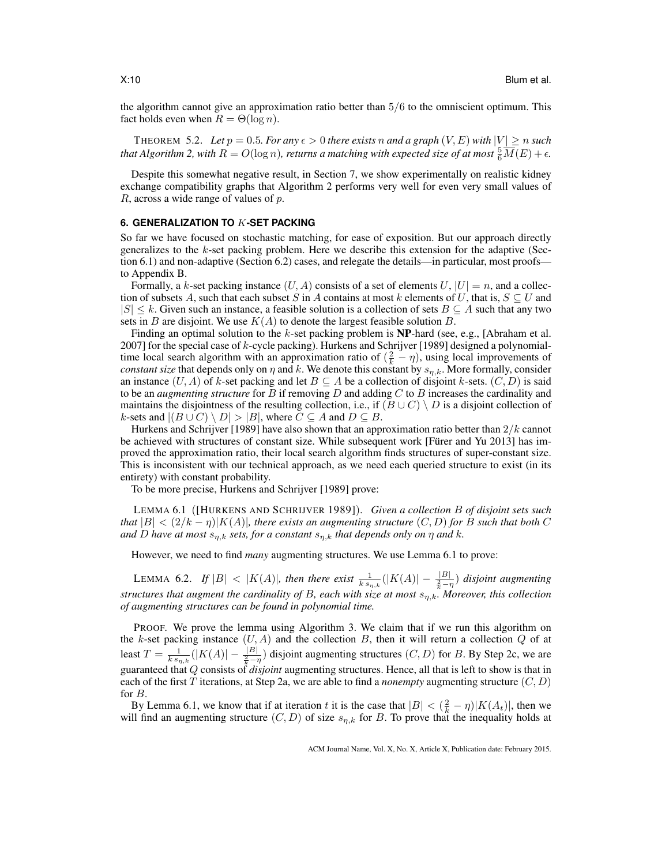the algorithm cannot give an approximation ratio better than  $5/6$  to the omniscient optimum. This fact holds even when  $R = \Theta(\log n)$ .

<span id="page-9-2"></span>THEOREM 5.2. Let  $p = 0.5$ *. For any*  $\epsilon > 0$  there exists n and a graph  $(V, E)$  with  $|V| \ge n$  such that Algorithm [2,](#page-8-0) with  $R = O(\log n)$ , returns a matching with expected size of at most  $\frac{5}{6}\overline{M}(E) + \epsilon$ .

Despite this somewhat negative result, in Section [7,](#page-12-0) we show experimentally on realistic kidney exchange compatibility graphs that Algorithm [2](#page-8-0) performs very well for even very small values of  $R$ , across a wide range of values of  $p$ .

# **6. GENERALIZATION TO** K**-SET PACKING**

So far we have focused on stochastic matching, for ease of exposition. But our approach directly generalizes to the k-set packing problem. Here we describe this extension for the adaptive (Section [6.1\)](#page-10-1) and non-adaptive (Section [6.2\)](#page-11-0) cases, and relegate the details—in particular, most proofs to Appendix [B.](#page-20-0)

Formally, a k-set packing instance  $(U, A)$  consists of a set of elements  $U, |U| = n$ , and a collection of subsets A, such that each subset S in A contains at most k elements of U, that is,  $S \subseteq U$  and  $|S| \leq k$ . Given such an instance, a feasible solution is a collection of sets  $B \subseteq A$  such that any two sets in B are disjoint. We use  $K(A)$  to denote the largest feasible solution B.

Finding an optimal solution to the k-set packing problem is NP-hard (see, e.g., [\[Abraham et al.](#page-16-11) [2007\]](#page-16-11) for the special case of k-cycle packing). [Hurkens and Schrijver](#page-17-1) [\[1989\]](#page-17-1) designed a polynomialtime local search algorithm with an approximation ratio of  $(\frac{2}{k} - \eta)$ , using local improvements of *constant size* that depends only on  $\eta$  and k. We denote this constant by  $s_{\eta,k}$ . More formally, consider an instance  $(U, A)$  of k-set packing and let  $B \subseteq A$  be a collection of disjoint k-sets.  $(C, D)$  is said to be an *augmenting structure* for  $B$  if removing  $D$  and adding  $C$  to  $B$  increases the cardinality and maintains the disjointness of the resulting collection, i.e., if  $(B \cup C) \setminus D$  is a disjoint collection of k-sets and  $|(B \cup C) \setminus D| > |B|$ , where  $C \subseteq A$  and  $D \subseteq B$ .

[Hurkens and Schrijver](#page-17-1) [\[1989\]](#page-17-1) have also shown that an approximation ratio better than  $2/k$  cannot be achieved with structures of constant size. While subsequent work [Fürer and Yu 2013] has improved the approximation ratio, their local search algorithm finds structures of super-constant size. This is inconsistent with our technical approach, as we need each queried structure to exist (in its entirety) with constant probability.

<span id="page-9-0"></span>To be more precise, [Hurkens and Schrijver](#page-17-1) [\[1989\]](#page-17-1) prove:

LEMMA 6.1 ([H[URKENS AND](#page-17-1) SCHRIJVER [1989\]](#page-17-1)). *Given a collection* B *of disjoint sets such that*  $|B| < (2/k - \eta) |K(A)|$ *, there exists an augmenting structure*  $(C, D)$  *for* B such that both C *and* D *have at most*  $s_{n,k}$  *sets, for a constant*  $s_{n,k}$  *that depends only on*  $\eta$  *and*  $k$ *.* 

However, we need to find *many* augmenting structures. We use Lemma [6.1](#page-9-0) to prove:

<span id="page-9-1"></span>LEMMA 6.2. If  $|B| < |K(A)|$ , then there exist  $\frac{1}{k \cdot s_{\eta,k}}(|K(A)| - \frac{|B|}{\frac{2}{k}-\eta})$  disjoint augmenting *structures that augment the cardinality of* B*, each with size at most* sη,k*. Moreover, this collection of augmenting structures can be found in polynomial time.*

PROOF. We prove the lemma using Algorithm [3.](#page-10-2) We claim that if we run this algorithm on the k-set packing instance  $(U, A)$  and the collection B, then it will return a collection Q of at least  $T = \frac{1}{k s_{\eta,k}}(|K(A)| - \frac{|B|}{\frac{2}{k}-\eta})$  disjoint augmenting structures  $(C, D)$  for B. By Step [2c,](#page-10-3) we are guaranteed that Q consists of *disjoint* augmenting structures. Hence, all that is left to show is that in each of the first  $T$  iterations, at Step [2a,](#page-10-4) we are able to find a *nonempty* augmenting structure  $(C, D)$ for B.

By Lemma [6.1,](#page-9-0) we know that if at iteration t it is the case that  $|B| < (\frac{2}{k} - \eta)|K(A_t)|$ , then we will find an augmenting structure  $(C, D)$  of size  $s_{n,k}$  for B. To prove that the inequality holds at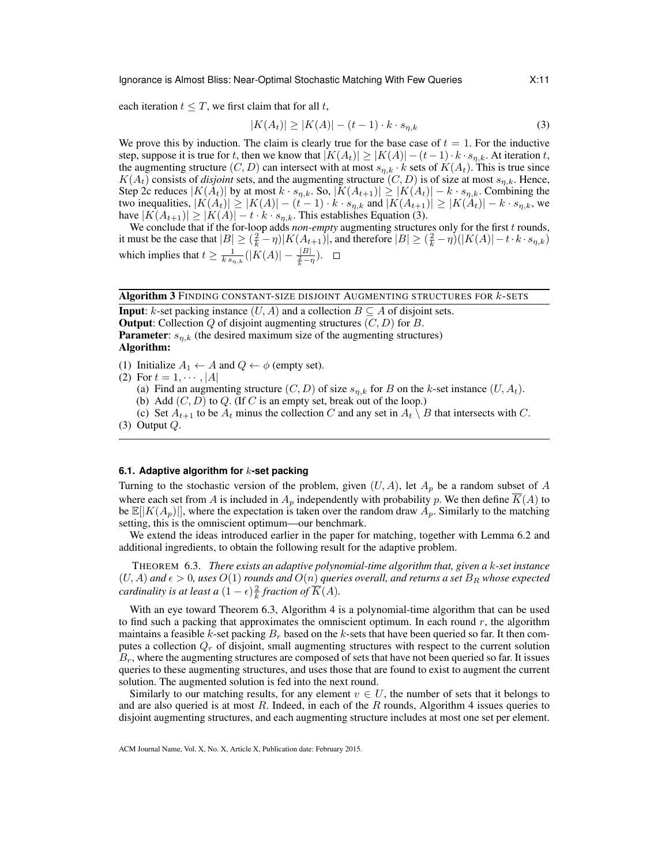Ignorance is Almost Bliss: Near-Optimal Stochastic Matching With Few Queries X:11

each iteration  $t \leq T$ , we first claim that for all t,

<span id="page-10-0"></span>
$$
|K(A_t)| \ge |K(A)| - (t - 1) \cdot k \cdot s_{\eta,k} \tag{3}
$$

We prove this by induction. The claim is clearly true for the base case of  $t = 1$ . For the inductive step, suppose it is true for t, then we know that  $|K(A_t)| \ge |K(A)| - (t-1) \cdot k \cdot s_{\eta,k}$ . At iteration t, the augmenting structure  $(C, D)$  can intersect with at most  $s_{\eta,k} \cdot k$  sets of  $K(A_t)$ . This is true since  $K(A_t)$  consists of *disjoint* sets, and the augmenting structure  $(C, D)$  is of size at most  $s_{\eta,k}$ . Hence, Step [2c](#page-10-3) reduces  $|K(A_t)|$  by at most  $k \cdot s_{\eta,k}$ . So,  $|K(A_{t+1})| \geq |K(A_t)| - k \cdot s_{\eta,k}$ . Combining the two inequalities,  $|K(A_t)| \ge |K(A)| - (t-1) \cdot k \cdot s_{\eta,k}$  and  $|K(A_{t+1})| \ge |K(A_t)| - k \cdot s_{\eta,k}$ , we have  $|K(A_{t+1})| \geq |K(A)| - t \cdot k \cdot s_{\eta,k}$ . This establishes Equation [\(3\)](#page-10-0).

We conclude that if the for-loop adds *non-empty* augmenting structures only for the first t rounds, it must be the case that  $|B| \geq (\frac{2}{k} - \eta)|K(A_{t+1})|$ , and therefore  $|B| \geq (\frac{2}{k} - \eta)(|K(A)| - t \cdot k \cdot s_{\eta,k})$ which implies that  $t \geq \frac{1}{k s_{\eta,k}}(|K(A)| - \frac{|B|}{\frac{2}{k} - \eta}).$ 

<span id="page-10-2"></span>Algorithm 3 FINDING CONSTANT-SIZE DISJOINT AUGMENTING STRUCTURES FOR k-SETS **Input:** k-set packing instance  $(U, A)$  and a collection  $B \subseteq A$  of disjoint sets. **Output:** Collection  $Q$  of disjoint augmenting structures  $(C, D)$  for  $B$ . **Parameter:**  $s_{\eta,k}$  (the desired maximum size of the augmenting structures) Algorithm:

(1) Initialize  $A_1 \leftarrow A$  and  $Q \leftarrow \phi$  (empty set).

<span id="page-10-4"></span>(2) For  $t = 1, \dots, |A|$ 

(a) Find an augmenting structure  $(C, D)$  of size  $s_{\eta,k}$  for B on the k-set instance  $(U, A_t)$ .

(b) Add  $(C, D)$  to  $Q$ . (If C is an empty set, break out of the loop.)

<span id="page-10-3"></span>(c) Set  $A_{t+1}$  to be  $A_t$  minus the collection C and any set in  $A_t \setminus B$  that intersects with C.

### <span id="page-10-1"></span>**6.1. Adaptive algorithm for** k**-set packing**

Turning to the stochastic version of the problem, given  $(U, A)$ , let  $A_p$  be a random subset of A where each set from A is included in  $A_p$  independently with probability p. We then define  $\overline{K}(A)$  to be  $\mathbb{E}[|K(A_p)|]$ , where the expectation is taken over the random draw  $A_p$ . Similarly to the matching setting, this is the omniscient optimum—our benchmark.

We extend the ideas introduced earlier in the paper for matching, together with Lemma [6.2](#page-9-1) and additional ingredients, to obtain the following result for the adaptive problem.

<span id="page-10-5"></span>THEOREM 6.3. *There exists an adaptive polynomial-time algorithm that, given a* k*-set instance*  $(U, A)$  and  $\epsilon > 0$ , uses  $O(1)$  rounds and  $O(n)$  queries overall, and returns a set  $B_R$  whose expected *cardinality is at least a*  $(1 - \epsilon) \frac{2}{k}$  *fraction of*  $\overline{K}(A)$ *.* 

With an eye toward Theorem [6.3,](#page-10-5) Algorithm [4](#page-11-1) is a polynomial-time algorithm that can be used to find such a packing that approximates the omniscient optimum. In each round  $r$ , the algorithm maintains a feasible k-set packing  $B_r$  based on the k-sets that have been queried so far. It then computes a collection  $Q_r$  of disjoint, small augmenting structures with respect to the current solution  $B_r$ , where the augmenting structures are composed of sets that have not been queried so far. It issues queries to these augmenting structures, and uses those that are found to exist to augment the current solution. The augmented solution is fed into the next round.

Similarly to our matching results, for any element  $v \in U$ , the number of sets that it belongs to and are also queried is at most  $R$ . Indeed, in each of the  $R$  rounds, Algorithm [4](#page-11-1) issues queries to disjoint augmenting structures, and each augmenting structure includes at most one set per element.

<sup>(3)</sup> Output Q.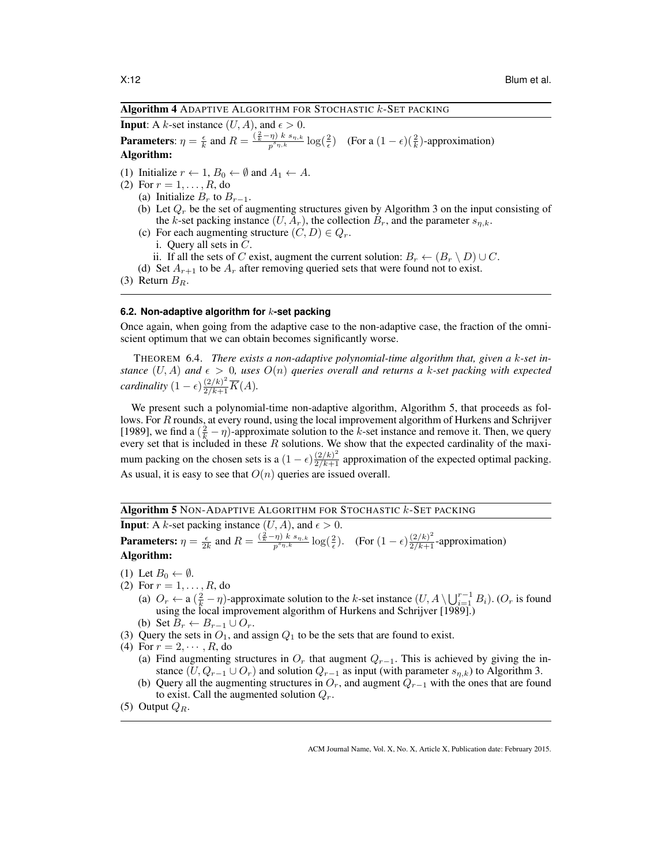Algorithm 4 ADAPTIVE ALGORITHM FOR STOCHASTIC k-SET PACKING

<span id="page-11-1"></span>**Input:** A k-set instance  $(U, A)$ , and  $\epsilon > 0$ .

**Parameters:**  $\eta = \frac{\epsilon}{k}$  and  $R = \frac{(\frac{2}{k} - \eta) k s_{\eta,k}}{p^{s_{\eta,k}}} \log(\frac{2}{\epsilon})$  (For a  $(1 - \epsilon)(\frac{2}{k})$ -approximation) Algorithm:

- (1) Initialize  $r \leftarrow 1, B_0 \leftarrow \emptyset$  and  $A_1 \leftarrow A$ .
- <span id="page-11-4"></span>(2) For  $r = 1, ..., R$ , do
	- (a) Initialize  $B_r$  to  $B_{r-1}$ .
	- (b) Let  $Q_r$  be the set of augmenting structures given by Algorithm [3](#page-10-2) on the input consisting of the k-set packing instance  $(U, A_r)$ , the collection  $B_r$ , and the parameter  $s_{n,k}$ .
	- (c) For each augmenting structure  $(C, D) \in Q_r$ . i. Query all sets in C.
		- ii. If all the sets of C exist, augment the current solution:  $B_r \leftarrow (B_r \setminus D) \cup C$ .
	- (d) Set  $A_{r+1}$  to be  $A_r$  after removing queried sets that were found not to exist.

# <span id="page-11-0"></span>**6.2. Non-adaptive algorithm for** k**-set packing**

Once again, when going from the adaptive case to the non-adaptive case, the fraction of the omniscient optimum that we can obtain becomes significantly worse.

<span id="page-11-3"></span>THEOREM 6.4. *There exists a non-adaptive polynomial-time algorithm that, given a* k*-set instance*  $(U, A)$  *and*  $\epsilon > 0$ , *uses*  $O(n)$  *queries overall and returns a k-set packing with expected cardinality*  $(1 - \epsilon) \frac{(2/k)^2}{2/k+1} \overline{K}(A)$ *.* 

We present such a polynomial-time non-adaptive algorithm, Algorithm [5,](#page-11-2) that proceeds as follows. For  $R$  rounds, at every round, using the local improvement algorithm of [Hurkens and Schrijver](#page-17-1) [\[1989\]](#page-17-1), we find a  $(\frac{2}{k} - \eta)$ -approximate solution to the k-set instance and remove it. Then, we query every set that is included in these  $R$  solutions. We show that the expected cardinality of the maximum packing on the chosen sets is a  $(1 - \epsilon) \frac{(2/k)^2}{2/k+1}$  approximation of the expected optimal packing. As usual, it is easy to see that  $O(n)$  queries are issued overall.

# Algorithm 5 NON-ADAPTIVE ALGORITHM FOR STOCHASTIC k-SET PACKING

<span id="page-11-2"></span>**Input:** A k-set packing instance  $(U, A)$ , and  $\epsilon > 0$ . **Parameters:**  $\eta = \frac{\epsilon}{2k}$  and  $R = \frac{(\frac{2}{k} - \eta) k s_{\eta,k}}{p^{s_{\eta,k}}} \log(\frac{2}{\epsilon})$ . (For  $(1 - \epsilon) \frac{(2/k)^2}{2/k + 1}$ -approximation) Algorithm:

- (1) Let  $B_0 \leftarrow \emptyset$ .
- (2) For  $r = 1, ..., R$ , do
	- (a)  $O_r \leftarrow$  a  $(\frac{2}{k} \eta)$ -approximate solution to the k-set instance  $(U, A \setminus \bigcup_{i=1}^{r-1} B_i)$ .  $(O_r$  is found using the local improvement algorithm of [Hurkens and Schrijver](#page-17-1) [\[1989\]](#page-17-1).)
	- (b) Set  $B_r \leftarrow B_{r-1} \cup O_r$ .
- <span id="page-11-5"></span>(3) Query the sets in  $O_1$ , and assign  $Q_1$  to be the sets that are found to exist.
- <span id="page-11-6"></span>(4) For  $r = 2, \dots, R$ , do
	- (a) Find augmenting structures in  $O_r$  that augment  $Q_{r-1}$ . This is achieved by giving the instance  $(U, Q_{r-1} \cup O_r)$  and solution  $Q_{r-1}$  as input (with parameter  $s_{\eta,k}$ ) to Algorithm [3.](#page-10-2)
	- (b) Query all the augmenting structures in  $O_r$ , and augment  $Q_{r-1}$  with the ones that are found to exist. Call the augmented solution  $Q_r$ .
- (5) Output  $Q_R$ .

<sup>(3)</sup> Return  $B_R$ .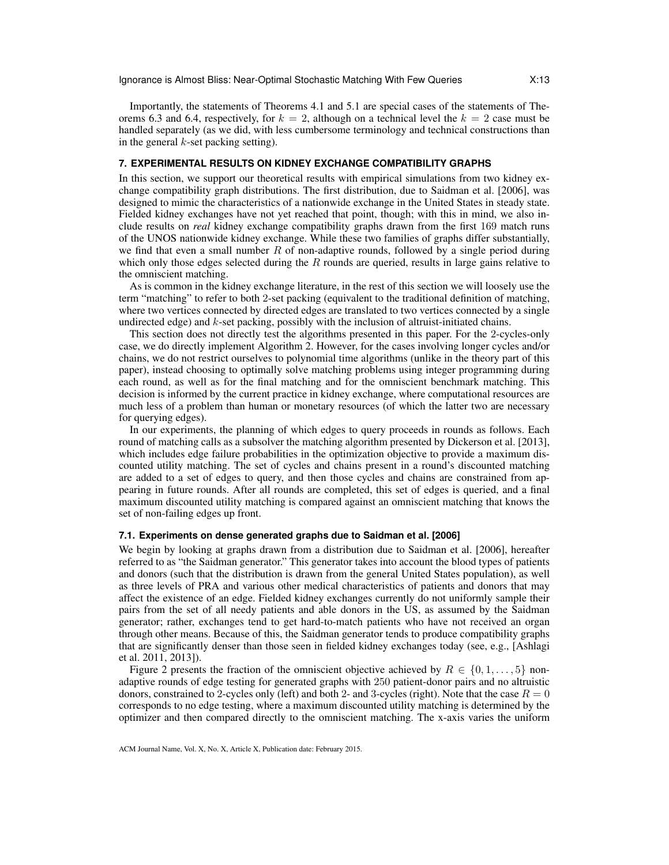Importantly, the statements of Theorems [4.1](#page-6-2) and [5.1](#page-8-1) are special cases of the statements of The-orems [6.3](#page-10-5) and [6.4,](#page-11-3) respectively, for  $k = 2$ , although on a technical level the  $k = 2$  case must be handled separately (as we did, with less cumbersome terminology and technical constructions than in the general  $k$ -set packing setting).

# <span id="page-12-0"></span>**7. EXPERIMENTAL RESULTS ON KIDNEY EXCHANGE COMPATIBILITY GRAPHS**

In this section, we support our theoretical results with empirical simulations from two kidney exchange compatibility graph distributions. The first distribution, due to [Saidman et al.](#page-17-14) [\[2006\]](#page-17-14), was designed to mimic the characteristics of a nationwide exchange in the United States in steady state. Fielded kidney exchanges have not yet reached that point, though; with this in mind, we also include results on *real* kidney exchange compatibility graphs drawn from the first 169 match runs of the UNOS nationwide kidney exchange. While these two families of graphs differ substantially, we find that even a small number  $R$  of non-adaptive rounds, followed by a single period during which only those edges selected during the  $R$  rounds are queried, results in large gains relative to the omniscient matching.

As is common in the kidney exchange literature, in the rest of this section we will loosely use the term "matching" to refer to both 2-set packing (equivalent to the traditional definition of matching, where two vertices connected by directed edges are translated to two vertices connected by a single undirected edge) and  $k$ -set packing, possibly with the inclusion of altruist-initiated chains.

This section does not directly test the algorithms presented in this paper. For the 2-cycles-only case, we do directly implement Algorithm [2.](#page-8-0) However, for the cases involving longer cycles and/or chains, we do not restrict ourselves to polynomial time algorithms (unlike in the theory part of this paper), instead choosing to optimally solve matching problems using integer programming during each round, as well as for the final matching and for the omniscient benchmark matching. This decision is informed by the current practice in kidney exchange, where computational resources are much less of a problem than human or monetary resources (of which the latter two are necessary for querying edges).

In our experiments, the planning of which edges to query proceeds in rounds as follows. Each round of matching calls as a subsolver the matching algorithm presented by [Dickerson et al.](#page-17-2) [\[2013\]](#page-17-2), which includes edge failure probabilities in the optimization objective to provide a maximum discounted utility matching. The set of cycles and chains present in a round's discounted matching are added to a set of edges to query, and then those cycles and chains are constrained from appearing in future rounds. After all rounds are completed, this set of edges is queried, and a final maximum discounted utility matching is compared against an omniscient matching that knows the set of non-failing edges up front.

# <span id="page-12-1"></span>**7.1. Experiments on dense generated graphs due to [Saidman et al.](#page-17-14) [\[2006\]](#page-17-14)**

We begin by looking at graphs drawn from a distribution due to [Saidman et al.](#page-17-14) [\[2006\]](#page-17-14), hereafter referred to as "the Saidman generator." This generator takes into account the blood types of patients and donors (such that the distribution is drawn from the general United States population), as well as three levels of PRA and various other medical characteristics of patients and donors that may affect the existence of an edge. Fielded kidney exchanges currently do not uniformly sample their pairs from the set of all needy patients and able donors in the US, as assumed by the Saidman generator; rather, exchanges tend to get hard-to-match patients who have not received an organ through other means. Because of this, the Saidman generator tends to produce compatibility graphs that are significantly denser than those seen in fielded kidney exchanges today (see, e.g., [\[Ashlagi](#page-16-12) [et al. 2011,](#page-16-12) [2013\]](#page-16-13)).

Figure [2](#page-13-0) presents the fraction of the omniscient objective achieved by  $R \in \{0, 1, \ldots, 5\}$  nonadaptive rounds of edge testing for generated graphs with 250 patient-donor pairs and no altruistic donors, constrained to 2-cycles only (left) and both 2- and 3-cycles (right). Note that the case  $R = 0$ corresponds to no edge testing, where a maximum discounted utility matching is determined by the optimizer and then compared directly to the omniscient matching. The x-axis varies the uniform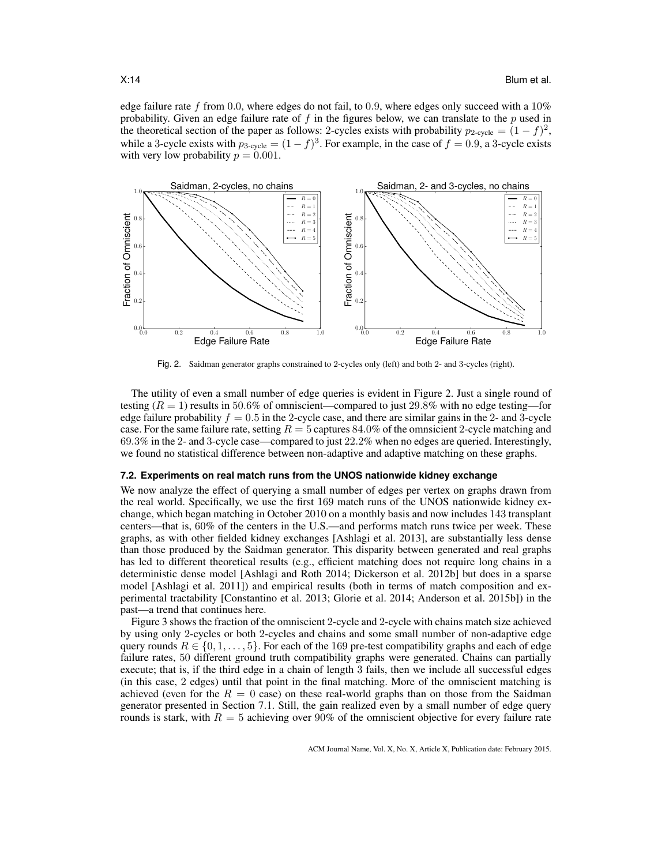edge failure rate f from 0.0, where edges do not fail, to 0.9, where edges only succeed with a  $10\%$ probability. Given an edge failure rate of f in the figures below, we can translate to the  $p$  used in the theoretical section of the paper as follows: 2-cycles exists with probability  $p_{2\text{-cycle}} = (1 - f)^2$ , while a 3-cycle exists with  $p_{3-cycle} = (1-f)^3$ . For example, in the case of  $f = 0.9$ , a 3-cycle exists with very low probability  $p = 0.001$ .



<span id="page-13-0"></span>Fig. 2. Saidman generator graphs constrained to 2-cycles only (left) and both 2- and 3-cycles (right).

The utility of even a small number of edge queries is evident in Figure [2.](#page-13-0) Just a single round of testing  $(R = 1)$  results in 50.6% of omniscient—compared to just 29.8% with no edge testing—for edge failure probability  $f = 0.5$  in the 2-cycle case, and there are similar gains in the 2- and 3-cycle case. For the same failure rate, setting  $R = 5$  captures 84.0% of the omnsicient 2-cycle matching and 69.3% in the 2- and 3-cycle case—compared to just 22.2% when no edges are queried. Interestingly, we found no statistical difference between non-adaptive and adaptive matching on these graphs.

## <span id="page-13-1"></span>**7.2. Experiments on real match runs from the UNOS nationwide kidney exchange**

We now analyze the effect of querying a small number of edges per vertex on graphs drawn from the real world. Specifically, we use the first 169 match runs of the UNOS nationwide kidney exchange, which began matching in October 2010 on a monthly basis and now includes 143 transplant centers—that is, 60% of the centers in the U.S.—and performs match runs twice per week. These graphs, as with other fielded kidney exchanges [\[Ashlagi et al. 2013\]](#page-16-13), are substantially less dense than those produced by the Saidman generator. This disparity between generated and real graphs has led to different theoretical results (e.g., efficient matching does not require long chains in a deterministic dense model [\[Ashlagi and Roth 2014;](#page-16-1) [Dickerson et al. 2012b\]](#page-17-15) but does in a sparse model [\[Ashlagi et al. 2011\]](#page-16-12)) and empirical results (both in terms of match composition and experimental tractability [\[Constantino et al. 2013;](#page-16-14) [Glorie et al. 2014;](#page-17-16) [Anderson et al. 2015b\]](#page-16-7)) in the past—a trend that continues here.

Figure [3](#page-14-0) shows the fraction of the omniscient 2-cycle and 2-cycle with chains match size achieved by using only 2-cycles or both 2-cycles and chains and some small number of non-adaptive edge query rounds  $R \in \{0, 1, \ldots, 5\}$ . For each of the 169 pre-test compatibility graphs and each of edge failure rates, 50 different ground truth compatibility graphs were generated. Chains can partially execute; that is, if the third edge in a chain of length 3 fails, then we include all successful edges (in this case, 2 edges) until that point in the final matching. More of the omniscient matching is achieved (even for the  $R = 0$  case) on these real-world graphs than on those from the Saidman generator presented in Section [7.1.](#page-12-1) Still, the gain realized even by a small number of edge query rounds is stark, with  $R = 5$  achieving over 90% of the omniscient objective for every failure rate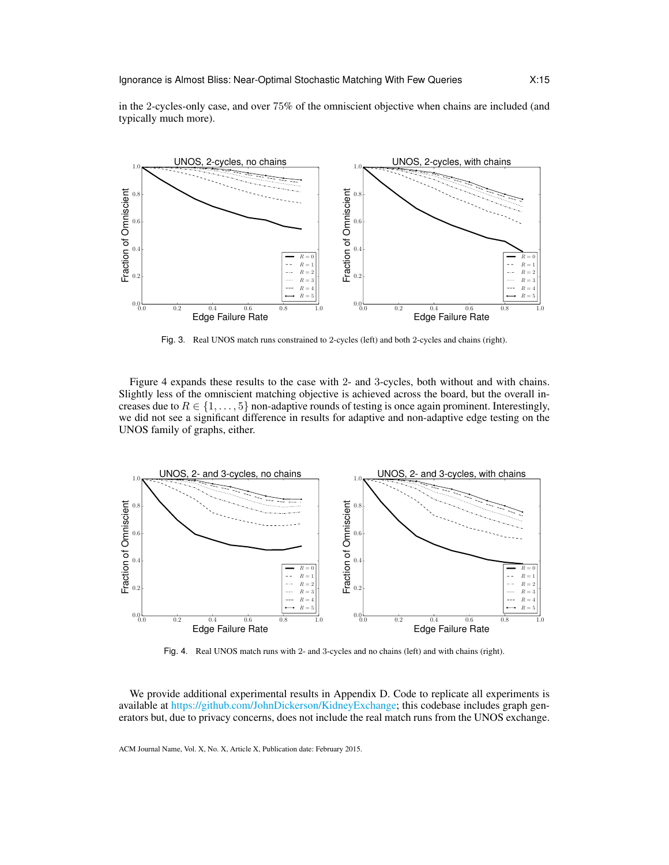in the 2-cycles-only case, and over 75% of the omniscient objective when chains are included (and typically much more).



<span id="page-14-0"></span>Fig. 3. Real UNOS match runs constrained to 2-cycles (left) and both 2-cycles and chains (right).

Figure [4](#page-14-1) expands these results to the case with 2- and 3-cycles, both without and with chains. Slightly less of the omniscient matching objective is achieved across the board, but the overall increases due to  $R \in \{1, \ldots, 5\}$  non-adaptive rounds of testing is once again prominent. Interestingly, we did not see a significant difference in results for adaptive and non-adaptive edge testing on the UNOS family of graphs, either.



<span id="page-14-1"></span>Fig. 4. Real UNOS match runs with 2- and 3-cycles and no chains (left) and with chains (right).

We provide additional experimental results in Appendix [D.](#page-26-0) Code to replicate all experiments is available at [https://github.com/JohnDickerson/KidneyExchange;](https://github.com/JohnDickerson/KidneyExchange) this codebase includes graph generators but, due to privacy concerns, does not include the real match runs from the UNOS exchange.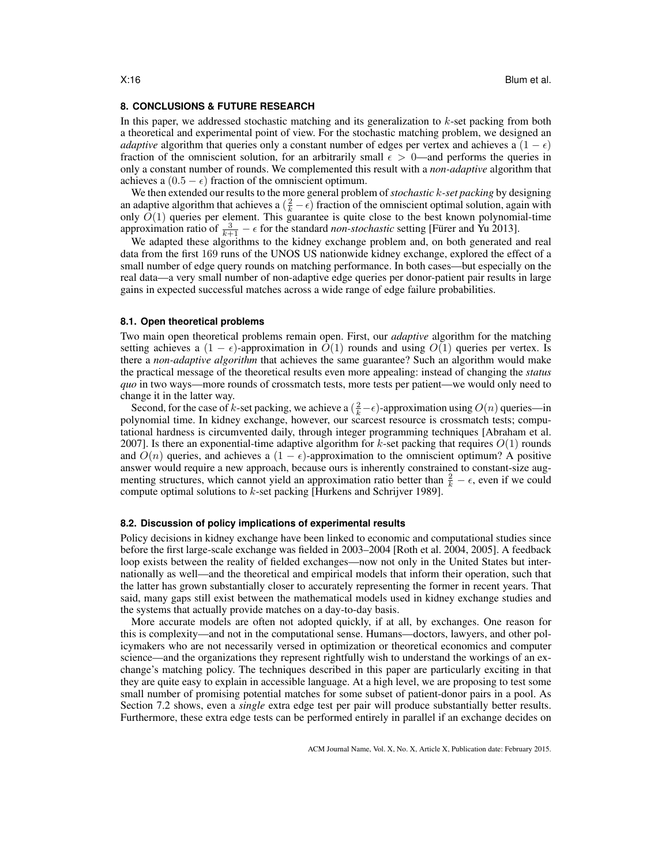# **8. CONCLUSIONS & FUTURE RESEARCH**

In this paper, we addressed stochastic matching and its generalization to  $k$ -set packing from both a theoretical and experimental point of view. For the stochastic matching problem, we designed an *adaptive* algorithm that queries only a constant number of edges per vertex and achieves a  $(1 - \epsilon)$ fraction of the omniscient solution, for an arbitrarily small  $\epsilon > 0$ —and performs the queries in only a constant number of rounds. We complemented this result with a *non-adaptive* algorithm that achieves a  $(0.5 - \epsilon)$  fraction of the omniscient optimum.

We then extended our results to the more general problem of*stochastic* k*-set packing* by designing an adaptive algorithm that achieves a  $(\frac{2}{k} - \epsilon)$  fraction of the omniscient optimal solution, again with only  $\tilde{O}(1)$  queries per element. This guarantee is quite close to the best known polynomial-time approximation ratio of  $\frac{3}{k+1} - \epsilon$  for the standard *non-stochastic* setting [\[Furer and Yu 2013\]](#page-17-0).

We adapted these algorithms to the kidney exchange problem and, on both generated and real data from the first 169 runs of the UNOS US nationwide kidney exchange, explored the effect of a small number of edge query rounds on matching performance. In both cases—but especially on the real data—a very small number of non-adaptive edge queries per donor-patient pair results in large gains in expected successful matches across a wide range of edge failure probabilities.

#### <span id="page-15-0"></span>**8.1. Open theoretical problems**

Two main open theoretical problems remain open. First, our *adaptive* algorithm for the matching setting achieves a  $(1 - \epsilon)$ -approximation in  $O(1)$  rounds and using  $O(1)$  queries per vertex. Is there a *non-adaptive algorithm* that achieves the same guarantee? Such an algorithm would make the practical message of the theoretical results even more appealing: instead of changing the *status quo* in two ways—more rounds of crossmatch tests, more tests per patient—we would only need to change it in the latter way.

Second, for the case of k-set packing, we achieve a  $(\frac{2}{k} - \epsilon)$ -approximation using  $O(n)$  queries—in polynomial time. In kidney exchange, however, our scarcest resource is crossmatch tests; computational hardness is circumvented daily, through integer programming techniques [\[Abraham et al.](#page-16-11) [2007\]](#page-16-11). Is there an exponential-time adaptive algorithm for k-set packing that requires  $O(1)$  rounds and  $O(n)$  queries, and achieves a  $(1 - \epsilon)$ -approximation to the omniscient optimum? A positive answer would require a new approach, because ours is inherently constrained to constant-size augmenting structures, which cannot yield an approximation ratio better than  $\frac{2}{k} - \epsilon$ , even if we could compute optimal solutions to  $k$ -set packing [\[Hurkens and Schrijver 1989\]](#page-17-1).

#### <span id="page-15-1"></span>**8.2. Discussion of policy implications of experimental results**

Policy decisions in kidney exchange have been linked to economic and computational studies since before the first large-scale exchange was fielded in 2003–2004 [\[Roth et al. 2004,](#page-17-17) [2005\]](#page-17-18). A feedback loop exists between the reality of fielded exchanges—now not only in the United States but internationally as well—and the theoretical and empirical models that inform their operation, such that the latter has grown substantially closer to accurately representing the former in recent years. That said, many gaps still exist between the mathematical models used in kidney exchange studies and the systems that actually provide matches on a day-to-day basis.

More accurate models are often not adopted quickly, if at all, by exchanges. One reason for this is complexity—and not in the computational sense. Humans—doctors, lawyers, and other policymakers who are not necessarily versed in optimization or theoretical economics and computer science—and the organizations they represent rightfully wish to understand the workings of an exchange's matching policy. The techniques described in this paper are particularly exciting in that they are quite easy to explain in accessible language. At a high level, we are proposing to test some small number of promising potential matches for some subset of patient-donor pairs in a pool. As Section [7.2](#page-13-1) shows, even a *single* extra edge test per pair will produce substantially better results. Furthermore, these extra edge tests can be performed entirely in parallel if an exchange decides on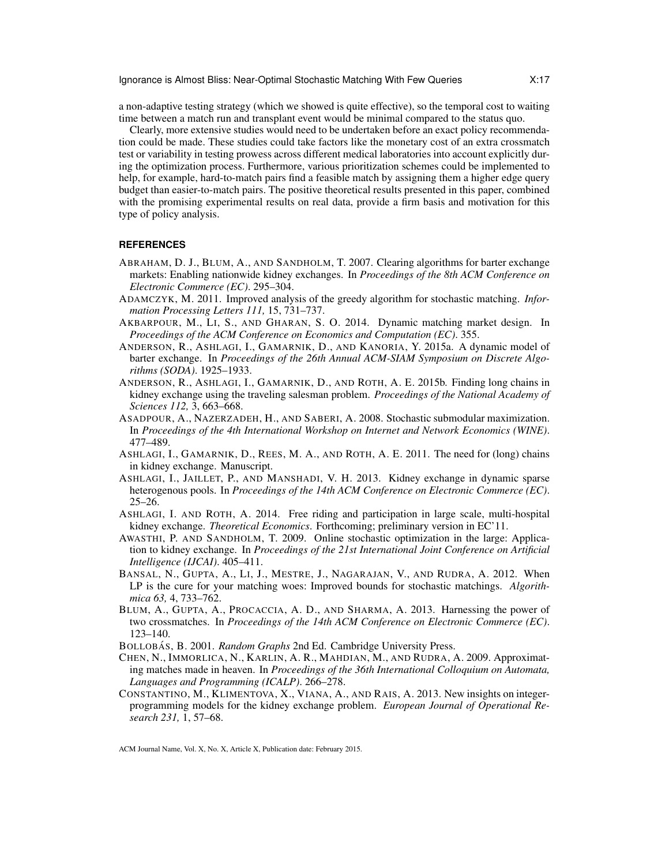a non-adaptive testing strategy (which we showed is quite effective), so the temporal cost to waiting time between a match run and transplant event would be minimal compared to the status quo.

Clearly, more extensive studies would need to be undertaken before an exact policy recommendation could be made. These studies could take factors like the monetary cost of an extra crossmatch test or variability in testing prowess across different medical laboratories into account explicitly during the optimization process. Furthermore, various prioritization schemes could be implemented to help, for example, hard-to-match pairs find a feasible match by assigning them a higher edge query budget than easier-to-match pairs. The positive theoretical results presented in this paper, combined with the promising experimental results on real data, provide a firm basis and motivation for this type of policy analysis.

# **REFERENCES**

- <span id="page-16-11"></span>ABRAHAM, D. J., BLUM, A., AND SANDHOLM, T. 2007. Clearing algorithms for barter exchange markets: Enabling nationwide kidney exchanges. In *Proceedings of the 8th ACM Conference on Electronic Commerce (EC)*. 295–304.
- <span id="page-16-3"></span>ADAMCZYK, M. 2011. Improved analysis of the greedy algorithm for stochastic matching. *Information Processing Letters 111,* 15, 731–737.
- <span id="page-16-8"></span>AKBARPOUR, M., LI, S., AND GHARAN, S. O. 2014. Dynamic matching market design. In *Proceedings of the ACM Conference on Economics and Computation (EC)*. 355.
- <span id="page-16-9"></span>ANDERSON, R., ASHLAGI, I., GAMARNIK, D., AND KANORIA, Y. 2015a. A dynamic model of barter exchange. In *Proceedings of the 26th Annual ACM-SIAM Symposium on Discrete Algorithms (SODA)*. 1925–1933.
- <span id="page-16-7"></span>ANDERSON, R., ASHLAGI, I., GAMARNIK, D., AND ROTH, A. E. 2015b. Finding long chains in kidney exchange using the traveling salesman problem. *Proceedings of the National Academy of Sciences 112,* 3, 663–668.
- <span id="page-16-6"></span>ASADPOUR, A., NAZERZADEH, H., AND SABERI, A. 2008. Stochastic submodular maximization. In *Proceedings of the 4th International Workshop on Internet and Network Economics (WINE)*. 477–489.
- <span id="page-16-12"></span>ASHLAGI, I., GAMARNIK, D., REES, M. A., AND ROTH, A. E. 2011. The need for (long) chains in kidney exchange. Manuscript.
- <span id="page-16-13"></span>ASHLAGI, I., JAILLET, P., AND MANSHADI, V. H. 2013. Kidney exchange in dynamic sparse heterogenous pools. In *Proceedings of the 14th ACM Conference on Electronic Commerce (EC)*.  $25 - 26.$
- <span id="page-16-1"></span>ASHLAGI, I. AND ROTH, A. 2014. Free riding and participation in large scale, multi-hospital kidney exchange. *Theoretical Economics*. Forthcoming; preliminary version in EC'11.
- <span id="page-16-10"></span>AWASTHI, P. AND SANDHOLM, T. 2009. Online stochastic optimization in the large: Application to kidney exchange. In *Proceedings of the 21st International Joint Conference on Artificial Intelligence (IJCAI)*. 405–411.
- <span id="page-16-4"></span>BANSAL, N., GUPTA, A., LI, J., MESTRE, J., NAGARAJAN, V., AND RUDRA, A. 2012. When LP is the cure for your matching woes: Improved bounds for stochastic matchings. *Algorithmica 63,* 4, 733–762.
- <span id="page-16-5"></span>BLUM, A., GUPTA, A., PROCACCIA, A. D., AND SHARMA, A. 2013. Harnessing the power of two crossmatches. In *Proceedings of the 14th ACM Conference on Electronic Commerce (EC)*. 123–140.
- <span id="page-16-0"></span>BOLLOBÁS, B. 2001. *Random Graphs* 2nd Ed. Cambridge University Press.
- <span id="page-16-2"></span>CHEN, N., IMMORLICA, N., KARLIN, A. R., MAHDIAN, M., AND RUDRA, A. 2009. Approximating matches made in heaven. In *Proceedings of the 36th International Colloquium on Automata, Languages and Programming (ICALP)*. 266–278.
- <span id="page-16-14"></span>CONSTANTINO, M., KLIMENTOVA, X., VIANA, A., AND RAIS, A. 2013. New insights on integerprogramming models for the kidney exchange problem. *European Journal of Operational Research 231,* 1, 57–68.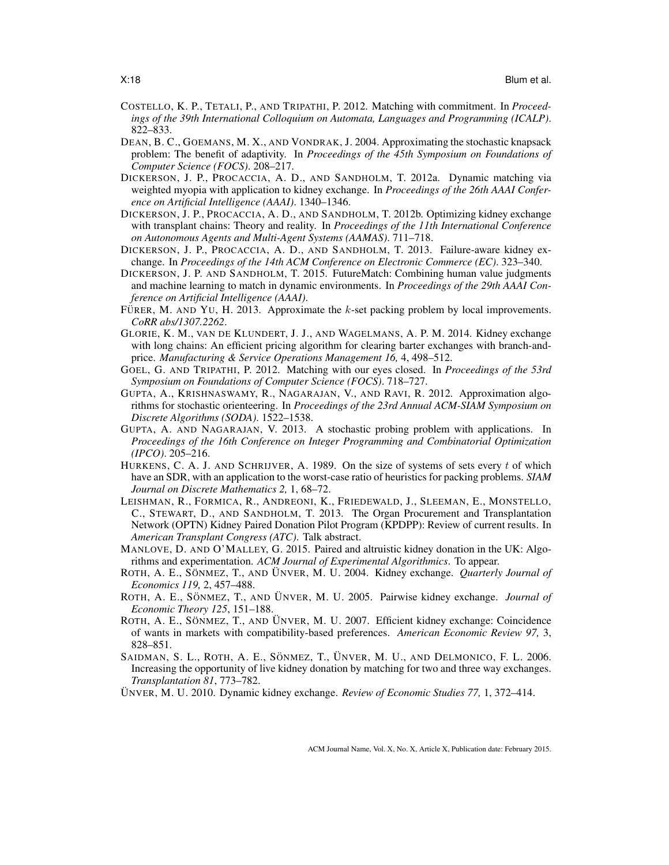- <span id="page-17-6"></span>COSTELLO, K. P., TETALI, P., AND TRIPATHI, P. 2012. Matching with commitment. In *Proceedings of the 39th International Colloquium on Automata, Languages and Programming (ICALP)*. 822–833.
- <span id="page-17-8"></span>DEAN, B. C., GOEMANS, M. X., AND VONDRAK, J. 2004. Approximating the stochastic knapsack problem: The benefit of adaptivity. In *Proceedings of the 45th Symposium on Foundations of Computer Science (FOCS)*. 208–217.
- <span id="page-17-12"></span>DICKERSON, J. P., PROCACCIA, A. D., AND SANDHOLM, T. 2012a. Dynamic matching via weighted myopia with application to kidney exchange. In *Proceedings of the 26th AAAI Conference on Artificial Intelligence (AAAI)*. 1340–1346.
- <span id="page-17-15"></span>DICKERSON, J. P., PROCACCIA, A. D., AND SANDHOLM, T. 2012b. Optimizing kidney exchange with transplant chains: Theory and reality. In *Proceedings of the 11th International Conference on Autonomous Agents and Multi-Agent Systems (AAMAS)*. 711–718.
- <span id="page-17-2"></span>DICKERSON, J. P., PROCACCIA, A. D., AND SANDHOLM, T. 2013. Failure-aware kidney exchange. In *Proceedings of the 14th ACM Conference on Electronic Commerce (EC)*. 323–340.
- <span id="page-17-13"></span>DICKERSON, J. P. AND SANDHOLM, T. 2015. FutureMatch: Combining human value judgments and machine learning to match in dynamic environments. In *Proceedings of the 29th AAAI Conference on Artificial Intelligence (AAAI)*.
- <span id="page-17-0"></span>FÜRER, M. AND YU, H. 2013. Approximate the  $k$ -set packing problem by local improvements. *CoRR abs/1307.2262*.
- <span id="page-17-16"></span>GLORIE, K. M., VAN DE KLUNDERT, J. J., AND WAGELMANS, A. P. M. 2014. Kidney exchange with long chains: An efficient pricing algorithm for clearing barter exchanges with branch-andprice. *Manufacturing & Service Operations Management 16,* 4, 498–512.
- <span id="page-17-5"></span>GOEL, G. AND TRIPATHI, P. 2012. Matching with our eyes closed. In *Proceedings of the 53rd Symposium on Foundations of Computer Science (FOCS)*. 718–727.
- <span id="page-17-9"></span>GUPTA, A., KRISHNASWAMY, R., NAGARAJAN, V., AND RAVI, R. 2012. Approximation algorithms for stochastic orienteering. In *Proceedings of the 23rd Annual ACM-SIAM Symposium on Discrete Algorithms (SODA)*. 1522–1538.
- <span id="page-17-7"></span>GUPTA, A. AND NAGARAJAN, V. 2013. A stochastic probing problem with applications. In *Proceedings of the 16th Conference on Integer Programming and Combinatorial Optimization (IPCO)*. 205–216.
- <span id="page-17-1"></span>HURKENS, C. A. J. AND SCHRIJVER, A. 1989. On the size of systems of sets every t of which have an SDR, with an application to the worst-case ratio of heuristics for packing problems. *SIAM Journal on Discrete Mathematics 2,* 1, 68–72.
- <span id="page-17-3"></span>LEISHMAN, R., FORMICA, R., ANDREONI, K., FRIEDEWALD, J., SLEEMAN, E., MONSTELLO, C., STEWART, D., AND SANDHOLM, T. 2013. The Organ Procurement and Transplantation Network (OPTN) Kidney Paired Donation Pilot Program (KPDPP): Review of current results. In *American Transplant Congress (ATC)*. Talk abstract.
- <span id="page-17-10"></span>MANLOVE, D. AND O'MALLEY, G. 2015. Paired and altruistic kidney donation in the UK: Algorithms and experimentation. *ACM Journal of Experimental Algorithmics*. To appear.
- <span id="page-17-17"></span>ROTH, A. E., SÖNMEZ, T., AND UNVER, M. U. 2004. Kidney exchange. *Quarterly Journal of Economics 119,* 2, 457–488.
- <span id="page-17-18"></span>ROTH, A. E., SÖNMEZ, T., AND ÜNVER, M. U. 2005. Pairwise kidney exchange. *Journal of Economic Theory 125*, 151–188.
- <span id="page-17-4"></span>ROTH, A. E., SÖNMEZ, T., AND ÜNVER, M. U. 2007. Efficient kidney exchange: Coincidence of wants in markets with compatibility-based preferences. *American Economic Review 97,* 3, 828–851.
- <span id="page-17-14"></span>SAIDMAN, S. L., ROTH, A. E., SÖNMEZ, T., ÜNVER, M. U., AND DELMONICO, F. L. 2006. Increasing the opportunity of live kidney donation by matching for two and three way exchanges. *Transplantation 81*, 773–782.
- <span id="page-17-11"></span>U¨ NVER, M. U. 2010. Dynamic kidney exchange. *Review of Economic Studies 77,* 1, 372–414.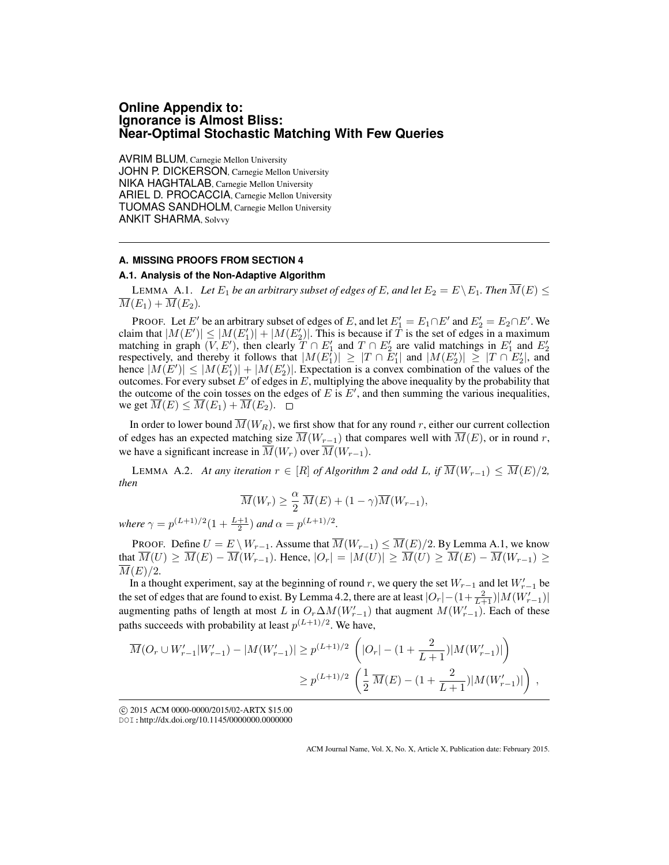# **Online Appendix to: Ignorance is Almost Bliss: Near-Optimal Stochastic Matching With Few Queries**

AVRIM BLUM, Carnegie Mellon University JOHN P. DICKERSON, Carnegie Mellon University NIKA HAGHTALAB, Carnegie Mellon University ARIEL D. PROCACCIA, Carnegie Mellon University TUOMAS SANDHOLM, Carnegie Mellon University ANKIT SHARMA, Solvvy

# <span id="page-18-0"></span>**A. MISSING PROOFS FROM SECTION 4**

# **A.1. Analysis of the Non-Adaptive Algorithm**

<span id="page-18-1"></span>LEMMA A.1. Let  $E_1$  be an arbitrary subset of edges of E, and let  $E_2 = E \setminus E_1$ . Then  $\overline{M}(E) \le$  $\overline{M}(E_1) + \overline{M}(E_2)$ .

PROOF. Let E' be an arbitrary subset of edges of E, and let  $E'_1 = E_1 \cap E'$  and  $E'_2 = E_2 \cap E'$ . We claim that  $|M(E')| \leq |M(E'_1)| + |M(E'_2)|$ . This is because if  $\hat{T}$  is the set of edges in a maximum matching in graph  $(V, E')$ , then clearly  $\overline{T} \cap E'_1$  and  $T \cap E'_2$  are valid matchings in  $E'_1$  and  $E'_2$  respectively, and thereby it follows that  $|M(E'_1)| \geq |T \cap E'_1|$  and  $|M(E'_2)| \geq |T \cap E'_2|$ , and hence  $|M(E')| \leq |M(E_1')| + |M(E_2')|$ . Expectation is a convex combination of the values of the outcomes. For every subset  $E'$  of edges in  $E$ , multiplying the above inequality by the probability that the outcome of the coin tosses on the edges of E is  $E'$ , and then summing the various inequalities, we get  $\overline{M}(E) \leq \overline{M}(E_1) + \overline{M}(E_2)$ .

In order to lower bound  $\overline{M}(W_R)$ , we first show that for any round r, either our current collection of edges has an expected matching size  $\overline{M}(W_{r-1})$  that compares well with  $\overline{M}(E)$ , or in round r, we have a significant increase in  $\overline{M}(W_r)$  over  $\overline{M}(W_{r-1})$ .

<span id="page-18-2"></span>LEMMA A.2. At any iteration  $r \in [R]$  of Algorithm [2](#page-8-0) and odd L, if  $\overline{M}(W_{r-1}) \le \overline{M}(E)/2$ , *then*

$$
\overline{M}(W_r) \ge \frac{\alpha}{2} \overline{M}(E) + (1 - \gamma) \overline{M}(W_{r-1}),
$$

*where*  $\gamma = p^{(L+1)/2} (1 + \frac{L+1}{2})$  *and*  $\alpha = p^{(L+1)/2}$ *.* 

PROOF. Define  $U = E \setminus W_{r-1}$ . Assume that  $M(W_{r-1}) \le M(E)/2$ . By Lemma [A.1,](#page-18-1) we know that  $\overline{M}(U) \ge \overline{M}(E) - \overline{M}(W_{r-1})$ . Hence,  $|O_r| = |M(U)| \ge \overline{M}(U) \ge \overline{M}(E) - \overline{M}(W_{r-1}) \ge$  $\overline{M}(E)/2$ .

In a thought experiment, say at the beginning of round r, we query the set  $W_{r-1}$  and let  $W'_{r-1}$  be the set of edges that are found to exist. By Lemma [4.2,](#page-6-1) there are at least  $|O_r| - (1 + \frac{2}{L+1})|M(W_{r-1}')|$ augmenting paths of length at most L in  $O_r\Delta M(W'_{r-1})$  that augment  $M(W'_{r-1})$ . Each of these paths succeeds with probability at least  $p^{(L+1)/2}$ . We have,

$$
\overline{M}(O_r \cup W'_{r-1}|W'_{r-1}) - |M(W'_{r-1})| \ge p^{(L+1)/2} \left( |O_r| - (1 + \frac{2}{L+1}) |M(W'_{r-1})| \right)
$$
  

$$
\ge p^{(L+1)/2} \left( \frac{1}{2} \overline{M}(E) - (1 + \frac{2}{L+1}) |M(W'_{r-1})| \right),
$$

c 2015 ACM 0000-0000/2015/02-ARTX \$15.00

DOI:http://dx.doi.org/10.1145/0000000.0000000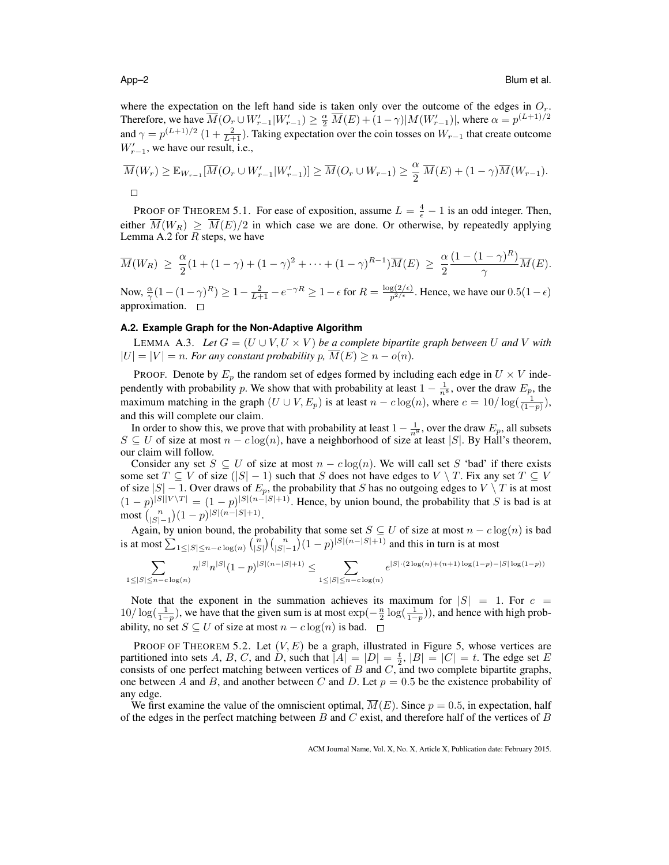where the expectation on the left hand side is taken only over the outcome of the edges in  $O_r$ . Therefore, we have  $\overline{M}(O_r \cup W'_{r-1} | W'_{r-1}) \geq \frac{\alpha}{2} \overline{M}(E) + (1 - \gamma)|M(W'_{r-1})|$ , where  $\alpha = p^{(L+1)/2}$ and  $\gamma = p^{(L+1)/2} (1 + \frac{2}{L+1})$ . Taking expectation over the coin tosses on  $W_{r-1}$  that create outcome  $W'_{r-1}$ , we have our result, i.e.,

$$
\overline{M}(W_r) \geq \mathbb{E}_{W_{r-1}}[\overline{M}(O_r \cup W'_{r-1}|W'_{r-1})] \geq \overline{M}(O_r \cup W_{r-1}) \geq \frac{\alpha}{2} \overline{M}(E) + (1 - \gamma)\overline{M}(W_{r-1}).
$$

PROOF OF THEOREM [5.1.](#page-8-1) For ease of exposition, assume  $L = \frac{4}{\epsilon} - 1$  is an odd integer. Then, either  $\overline{M}(W_R) \geq \overline{M}(E)/2$  in which case we are done. Or otherwise, by repeatedly applying Lemma [A.2](#page-18-2) for  $R$  steps, we have

$$
\overline{M}(W_R) \geq \frac{\alpha}{2}(1+(1-\gamma)+(1-\gamma)^2+\cdots+(1-\gamma)^{R-1})\overline{M}(E) \geq \frac{\alpha}{2}\frac{(1-(1-\gamma)^R)}{\gamma}\overline{M}(E).
$$

Now,  $\frac{\alpha}{\gamma}(1-(1-\gamma)^R) \ge 1-\frac{2}{L+1}-e^{-\gamma R} \ge 1-\epsilon$  for  $R=\frac{\log(2/\epsilon)}{p^{2/\epsilon}}$ . Hence, we have our  $0.5(1-\epsilon)$ approximation.  $\square$ 

#### **A.2. Example Graph for the Non-Adaptive Algorithm**

<span id="page-19-0"></span>LEMMA A.3. Let  $G = (U \cup V, U \times V)$  be a complete bipartite graph between U and V with  $|U| = |V| = n$ . For any constant probability p,  $\overline{M}(E) \geq n - o(n)$ .

PROOF. Denote by  $E_p$  the random set of edges formed by including each edge in  $U \times V$  independently with probability p. We show that with probability at least  $1 - \frac{1}{n^8}$ , over the draw  $E_p$ , the maximum matching in the graph  $(U \cup V, E_p)$  is at least  $n - c \log(n)$ , where  $c = 10/\log(\frac{1}{(1-p)})$ , and this will complete our claim.

In order to show this, we prove that with probability at least  $1 - \frac{1}{n^8}$ , over the draw  $E_p$ , all subsets  $S \subseteq U$  of size at most  $n - c \log(n)$ , have a neighborhood of size at least  $|S|$ . By Hall's theorem, our claim will follow.

Consider any set  $S \subseteq U$  of size at most  $n - c \log(n)$ . We will call set S 'bad' if there exists some set  $T \subseteq V$  of size  $(|S| - 1)$  such that S does not have edges to  $V \setminus T$ . Fix any set  $T \subseteq V$ of size  $|S| - 1$ . Over draws of  $E_p$ , the probability that S has no outgoing edges to  $V \setminus T$  is at most  $(1-p)^{|S||V \setminus T|} = (1-p)^{|S|(n-|S|+1)}$ . Hence, by union bound, the probability that S is bad is at most  $\binom{n}{|S|-1}(1-p)^{|S|(n-|S|+1)}$ .

Again, by union bound, the probability that some set  $S \subseteq U$  of size at most  $n - c \log(n)$  is bad is at most  $\sum_{1 \leq |S| \leq n-c \log(n)} {n \choose |S|} {n \choose |S|-1} (1-p)^{|S|(n-|S|+1)}$  and this in turn is at most

$$
\sum_{1 \leq |S| \leq n - c\log(n)} n^{|S|} n^{|S|} (1-p)^{|S|(n-|S|+1)} \leq \sum_{1 \leq |S| \leq n - c\log(n)} e^{|S| \cdot (2\log(n) + (n+1)\log(1-p) - |S|\log(1-p))}
$$

Note that the exponent in the summation achieves its maximum for  $|S| = 1$ . For  $c =$  $10/\log(\frac{1}{1-p})$ , we have that the given sum is at most  $\exp(-\frac{n}{2}\log(\frac{1}{1-p}))$ , and hence with high probability, no set  $S \subseteq U$  of size at most  $n - c \log(n)$  is bad.  $□$ 

PROOF OF THEOREM [5.2.](#page-9-2) Let  $(V, E)$  be a graph, illustrated in Figure [5,](#page-20-1) whose vertices are partitioned into sets A, B, C, and D, such that  $|A| = |D| = \frac{t}{2}$ ,  $|B| = |C| = t$ . The edge set E consists of one perfect matching between vertices of  $B$  and  $C$ , and two complete bipartite graphs, one between A and B, and another between C and D. Let  $p = 0.5$  be the existence probability of any edge.

We first examine the value of the omniscient optimal,  $M(E)$ . Since  $p = 0.5$ , in expectation, half of the edges in the perfect matching between B and C exist, and therefore half of the vertices of B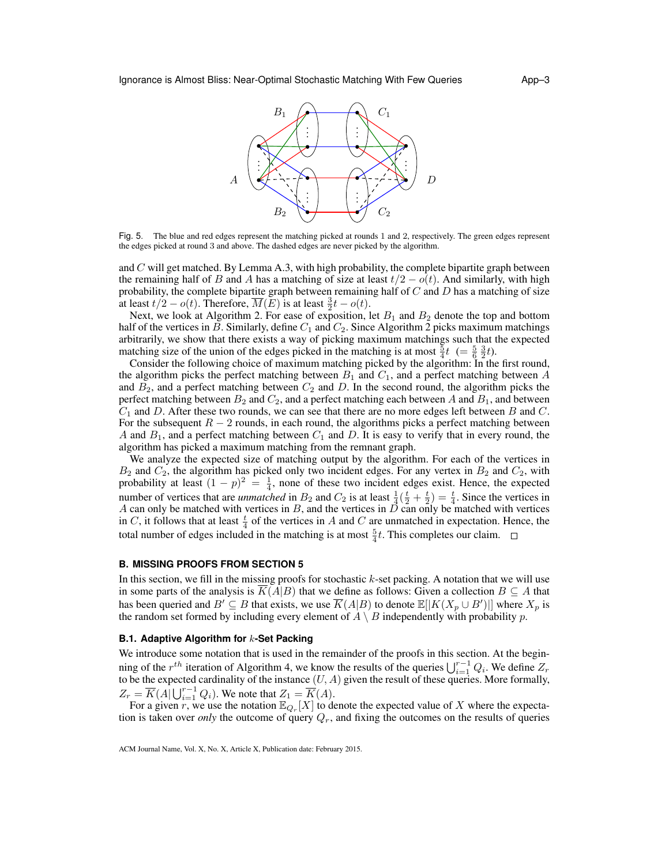<span id="page-20-1"></span>

Fig. 5. The blue and red edges represent the matching picked at rounds 1 and 2, respectively. The green edges represent the edges picked at round 3 and above. The dashed edges are never picked by the algorithm.

and  $C$  will get matched. By Lemma [A.3,](#page-19-0) with high probability, the complete bipartite graph between the remaining half of B and A has a matching of size at least  $t/2 - o(t)$ . And similarly, with high probability, the complete bipartite graph between remaining half of  $C$  and  $D$  has a matching of size at least  $t/2 - o(t)$ . Therefore,  $\overline{M}(E)$  is at least  $\frac{3}{2}t - o(t)$ .

Next, we look at Algorithm [2.](#page-8-0) For ease of exposition, let  $B_1$  and  $B_2$  denote the top and bottom half of the vertices in B. Similarly, define  $C_1$  and  $C_2$ . Since Algorithm [2](#page-8-0) picks maximum matchings arbitrarily, we show that there exists a way of picking maximum matchings such that the expected matching size of the union of the edges picked in the matching is at most  $\frac{5}{4}t$  (=  $\frac{5}{6}\frac{3}{2}t$ ).

Consider the following choice of maximum matching picked by the algorithm: In the first round, the algorithm picks the perfect matching between  $B_1$  and  $C_1$ , and a perfect matching between A and  $B_2$ , and a perfect matching between  $C_2$  and D. In the second round, the algorithm picks the perfect matching between  $B_2$  and  $C_2$ , and a perfect matching each between A and  $B_1$ , and between  $C_1$  and D. After these two rounds, we can see that there are no more edges left between B and C. For the subsequent  $R - 2$  rounds, in each round, the algorithms picks a perfect matching between A and  $B_1$ , and a perfect matching between  $C_1$  and D. It is easy to verify that in every round, the algorithm has picked a maximum matching from the remnant graph.

We analyze the expected size of matching output by the algorithm. For each of the vertices in  $B_2$  and  $C_2$ , the algorithm has picked only two incident edges. For any vertex in  $B_2$  and  $C_2$ , with probability at least  $(1 - p)^2 = \frac{1}{4}$ , none of these two incident edges exist. Hence, the expected number of vertices that are *unmatched* in  $B_2$  and  $C_2$  is at least  $\frac{1}{4}(\frac{t}{2} + \frac{t}{2}) = \frac{t}{4}$ . Since the vertices in A can only be matched with vertices in  $B$ , and the vertices in  $\overline{D}$  can only be matched with vertices in C, it follows that at least  $\frac{t}{4}$  of the vertices in A and C are unmatched in expectation. Hence, the total number of edges included in the matching is at most  $\frac{5}{4}t$ . This completes our claim.

#### <span id="page-20-0"></span>**B. MISSING PROOFS FROM SECTION 5**

In this section, we fill in the missing proofs for stochastic  $k$ -set packing. A notation that we will use in some parts of the analysis is  $\overline{K}(A|B)$  that we define as follows: Given a collection  $B \subseteq A$  that has been queried and  $B' \subseteq B$  that exists, we use  $\overline{K}(A|B)$  to denote  $\mathbb{E}[|K(X_p \cup B')|]$  where  $X_p$  is the random set formed by including every element of  $A \setminus B$  independently with probability p.

#### **B.1. Adaptive Algorithm for k-Set Packing**

We introduce some notation that is used in the remainder of the proofs in this section. At the beginning of the  $r^{th}$  iteration of Algorithm [4,](#page-11-1) we know the results of the queries  $\bigcup_{i=1}^{r-1} Q_i$ . We define  $Z_r$ to be the expected cardinality of the instance  $(U, A)$  given the result of these queries. More formally,  $Z_r = \overline{K}(A \bigcup_{i=1}^{r-1} Q_i)$ . We note that  $Z_1 = \overline{K}(A)$ .

For a given r, we use the notation  $\mathbb{E}_{Q_r}[X]$  to denote the expected value of X where the expectation is taken over *only* the outcome of query  $Q_r$ , and fixing the outcomes on the results of queries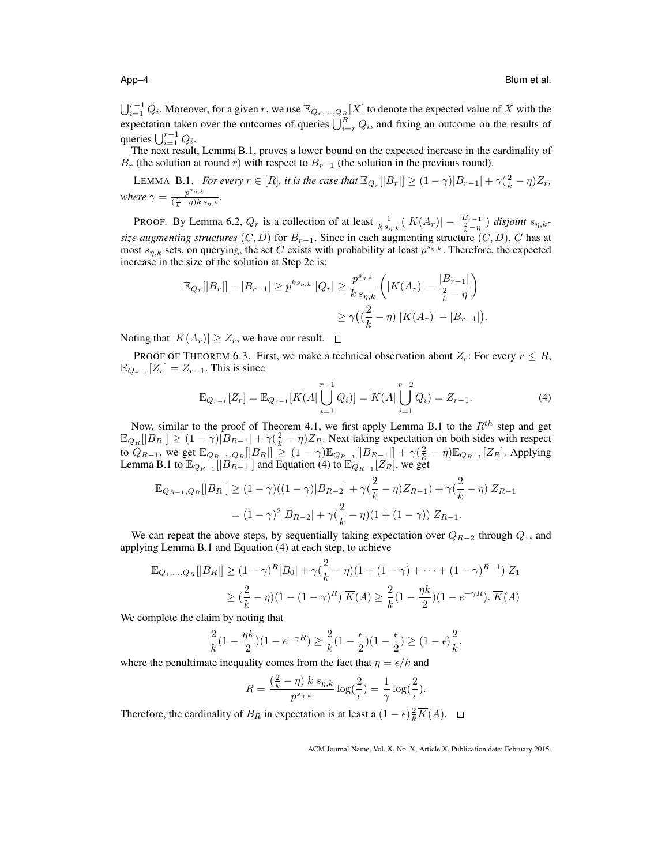$\bigcup_{i=1}^{r-1} Q_i$ . Moreover, for a given r, we use  $\mathbb{E}_{Q_r,...,Q_R}[X]$  to denote the expected value of X with the expectation taken over the outcomes of queries  $\bigcup_{i=r}^{R} Q_i$ , and fixing an outcome on the results of queries  $\bigcup_{i=1}^{r-1} Q_i$ .

The next result, Lemma [B.1,](#page-21-0) proves a lower bound on the expected increase in the cardinality of  $B_r$  (the solution at round r) with respect to  $B_{r-1}$  (the solution in the previous round).

LEMMA B.1. *For every*  $r \in [R]$ , it is the case that  $\mathbb{E}_{Q_r}[|B_r|] \geq (1 - \gamma)|B_{r-1}| + \gamma(\frac{2}{k} - \eta)Z_r$ , *where*  $\gamma = \frac{p^{s_{\eta,k}}}{(2-n)^k}$  $\frac{p^{-\eta,\kappa}}{(\frac{2}{k}-\eta)k s_{\eta,k}}$ .

PROOF. By Lemma [6.2,](#page-9-1)  $Q_r$  is a collection of at least  $\frac{1}{k s_{\eta,k}}(|K(A_r)| - \frac{|B_{r-1}|}{\frac{2}{k}-\eta})$  *disjoint*  $s_{\eta,k}$ *size augmenting structures*  $(C, D)$  for  $B_{r-1}$ . Since in each augmenting structure  $(C, D)$ , C has at most  $s_{\eta,k}$  sets, on querying, the set C exists with probability at least  $p^{s_{\eta,k}}$ . Therefore, the expected increase in the size of the solution at Step [2c](#page-11-4) is:

<span id="page-21-0"></span>
$$
\mathbb{E}_{Q_r}[|B_r|] - |B_{r-1}| \ge p^{ks_{\eta,k}} |Q_r| \ge \frac{p^{s_{\eta,k}}}{k s_{\eta,k}} \left( |K(A_r)| - \frac{|B_{r-1}|}{\frac{2}{k} - \eta} \right)
$$
  

$$
\ge \gamma \left( \left( \frac{2}{k} - \eta \right) |K(A_r)| - |B_{r-1}| \right).
$$

Noting that  $|K(A_r)| \geq Z_r$ , we have our result.  $\Box$ 

PROOF OF THEOREM [6.3.](#page-10-5) First, we make a technical observation about  $Z_r$ : For every  $r \leq R$ ,  $\mathbb{E}_{Q_{r-1}}[Z_r] = Z_{r-1}$ . This is since

<span id="page-21-1"></span>
$$
\mathbb{E}_{Q_{r-1}}[Z_r] = \mathbb{E}_{Q_{r-1}}[\overline{K}(A \mid \bigcup_{i=1}^{r-1} Q_i)] = \overline{K}(A \mid \bigcup_{i=1}^{r-2} Q_i) = Z_{r-1}.
$$
\n(4)

Now, similar to the proof of Theorem [4.1,](#page-6-2) we first apply Lemma [B.1](#page-21-0) to the  $R^{th}$  step and get  $\mathbb{E}_{Q_R}[|B_R|] \ge (1-\gamma)|B_{R-1}| + \gamma(\frac{2}{k}-\eta)Z_R$ . Next taking expectation on both sides with respect to  $Q_{R-1}$ , we get  $\mathbb{E}_{Q_{R-1},Q_R}[[B_R]] \geq (1-\gamma)\mathbb{E}_{Q_{R-1}}[[B_{R-1}]] + \gamma(\frac{2}{k} - \eta)\mathbb{E}_{Q_{R-1}}[Z_R]$ . Applying Lemma [B.1](#page-21-0) to  $\mathbb{E}_{Q_{R-1}}[[B_{R-1}]]$  and Equation [\(4\)](#page-21-1) to  $\mathbb{E}_{Q_{R-1}}[Z_R]$ , we get

$$
\mathbb{E}_{Q_{R-1},Q_R}[|B_R|] \ge (1-\gamma)((1-\gamma)|B_{R-2}| + \gamma(\frac{2}{k} - \eta)Z_{R-1}) + \gamma(\frac{2}{k} - \eta) Z_{R-1}
$$

$$
= (1-\gamma)^2|B_{R-2}| + \gamma(\frac{2}{k} - \eta)(1 + (1-\gamma)) Z_{R-1}.
$$

We can repeat the above steps, by sequentially taking expectation over  $Q_{R-2}$  through  $Q_1$ , and applying Lemma [B.1](#page-21-0) and Equation [\(4\)](#page-21-1) at each step, to achieve

$$
\mathbb{E}_{Q_1,\dots,Q_R}[|B_R|] \ge (1-\gamma)^R |B_0| + \gamma(\frac{2}{k} - \eta)(1 + (1-\gamma) + \dots + (1-\gamma)^{R-1}) Z_1
$$
  

$$
\ge (\frac{2}{k} - \eta)(1 - (1-\gamma)^R) \overline{K}(A) \ge \frac{2}{k}(1 - \frac{\eta k}{2})(1 - e^{-\gamma R}). \overline{K}(A)
$$

We complete the claim by noting that

$$
\frac{2}{k}(1-\frac{\eta k}{2})(1-e^{-\gamma R})\geq \frac{2}{k}(1-\frac{\epsilon}{2})(1-\frac{\epsilon}{2})\geq (1-\epsilon)\frac{2}{k},
$$

where the penultimate inequality comes from the fact that  $\eta = \epsilon/k$  and

$$
R = \frac{(\frac{2}{k} - \eta) k s_{\eta,k}}{p^{s_{\eta,k}}} \log(\frac{2}{\epsilon}) = \frac{1}{\gamma} \log(\frac{2}{\epsilon}).
$$

Therefore, the cardinality of  $B_R$  in expectation is at least a  $(1 - \epsilon) \frac{2}{k} \overline{K}(A)$ .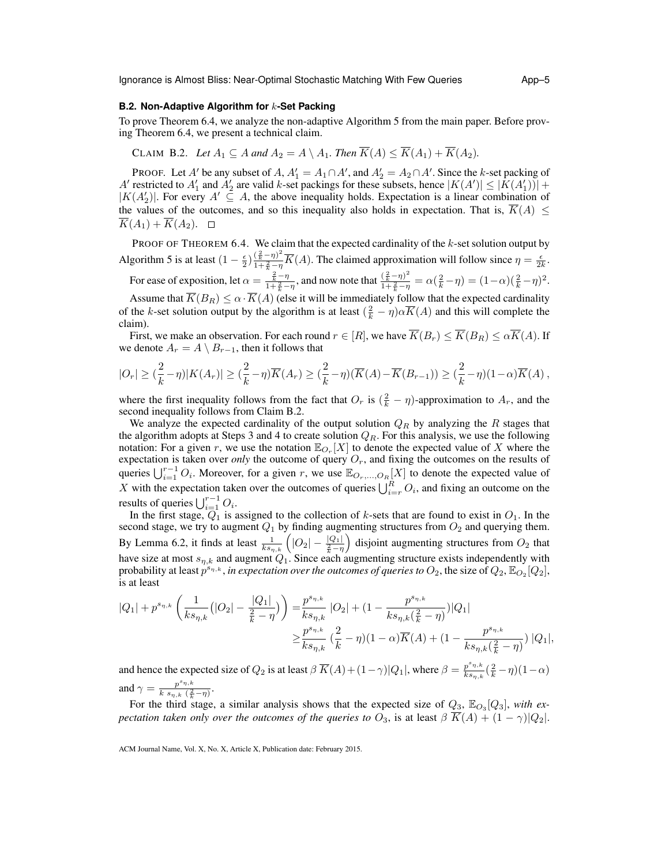Ignorance is Almost Bliss: Near-Optimal Stochastic Matching With Few Queries **App-5** 

# **B.2. Non-Adaptive Algorithm for k-Set Packing**

To prove Theorem [6.4,](#page-11-3) we analyze the non-adaptive Algorithm [5](#page-11-2) from the main paper. Before proving Theorem [6.4,](#page-11-3) we present a technical claim.

<span id="page-22-0"></span>CLAIM B.2. Let  $A_1 \subseteq A$  and  $A_2 = A \setminus A_1$ . Then  $\overline{K}(A) \leq \overline{K}(A_1) + \overline{K}(A_2)$ .

PROOF. Let A' be any subset of A,  $A'_1 = A_1 \cap A'$ , and  $A'_2 = A_2 \cap A'$ . Since the k-set packing of A' restricted to  $A'_1$  and  $A'_2$  are valid k-set packings for these subsets, hence  $|K(A')| \le |\tilde{K}(A'_1)| +$  $|K(A_2')|$ . For every  $A' \subseteq A$ , the above inequality holds. Expectation is a linear combination of the values of the outcomes, and so this inequality also holds in expectation. That is,  $\overline{K}(A) \leq$  $\overline{K}(A_1) + \overline{K}(A_2)$ .

PROOF OF THEOREM [6.4.](#page-11-3) We claim that the expected cardinality of the  $k$ -set solution output by Algorithm [5](#page-11-2) is at least  $\left(1 - \frac{\epsilon}{2}\right) \frac{\left(\frac{2}{k} - \eta\right)^2}{1 + \frac{2}{k} - \eta}$  $\frac{(\frac{k}{k} - \eta)^2}{1 + \frac{2}{k} - \eta} \overline{K}(A)$ . The claimed approximation will follow since  $\eta = \frac{\epsilon}{2k}$ . For ease of exposition, let  $\alpha = \frac{\frac{2}{k} - \eta}{1 + \frac{2}{k} - \eta}$ , and now note that  $\frac{(\frac{2}{k} - \eta)^2}{1 + \frac{2}{k} - \eta}$  $\frac{(\frac{z}{k} - \eta)^2}{1 + \frac{2}{k} - \eta} = \alpha(\frac{2}{k} - \eta) = (1 - \alpha)(\frac{2}{k} - \eta)^2.$ 

Assume that  $\overline{K}(B_R) \le \alpha \cdot \overline{K}(A)$  (else it will be immediately follow that the expected cardinality of the k-set solution output by the algorithm is at least  $(\frac{2}{k} - \eta)\alpha \overline{K}(A)$  and this will complete the claim).

First, we make an observation. For each round  $r \in [R]$ , we have  $\overline{K}(B_r) \le \overline{K}(B_R) \le \alpha \overline{K}(A)$ . If we denote  $A_r = A \setminus B_{r-1}$ , then it follows that

$$
|O_r| \geq (\frac{2}{k} - \eta)|K(A_r)| \geq (\frac{2}{k} - \eta)\overline{K}(A_r) \geq (\frac{2}{k} - \eta)(\overline{K}(A) - \overline{K}(B_{r-1})) \geq (\frac{2}{k} - \eta)(1 - \alpha)\overline{K}(A),
$$

where the first inequality follows from the fact that  $O_r$  is  $(\frac{2}{k} - \eta)$ -approximation to  $A_r$ , and the second inequality follows from Claim [B.2.](#page-22-0)

We analyze the expected cardinality of the output solution  $Q_R$  by analyzing the R stages that the algorithm adopts at Steps [3](#page-11-5) and [4](#page-11-6) to create solution  $Q_R$ . For this analysis, we use the following notation: For a given r, we use the notation  $\mathbb{E}_{O_r}[X]$  to denote the expected value of X where the expectation is taken over *only* the outcome of query  $O_r$ , and fixing the outcomes on the results of queries  $\bigcup_{i=1}^{r-1} O_i$ . Moreover, for a given r, we use  $\mathbb{E}_{O_r,...,O_R}[X]$  to denote the expected value of X with the expectation taken over the outcomes of queries  $\bigcup_{i=r}^{R} O_i$ , and fixing an outcome on the results of queries  $\bigcup_{i=1}^{r-1} O_i$ .

In the first stage,  $\overline{Q}_1$  is assigned to the collection of k-sets that are found to exist in  $O_1$ . In the second stage, we try to augment  $Q_1$  by finding augmenting structures from  $O_2$  and querying them. By Lemma [6.2,](#page-9-1) it finds at least  $\frac{1}{ks_{\eta,k}} \left( |O_2| - \frac{|Q_1|}{\frac{2}{k} - \eta} \right)$ ) disjoint augmenting structures from  $O_2$  that have size at most  $s_{\eta,k}$  and augment  $Q_1$ . Since each augmenting structure exists independently with probability at least  $p^{s_{\eta,k}}$ , *in expectation over the outcomes of queries to*  $O_2$ , the size of  $Q_2$ ,  $\mathbb{E}_{O_2}[Q_2]$ , is at least

$$
|Q_{1}| + p^{s_{\eta,k}} \left( \frac{1}{ks_{\eta,k}} \left( |O_{2}| - \frac{|Q_{1}|}{\frac{2}{k} - \eta} \right) \right) = \frac{p^{s_{\eta,k}}}{ks_{\eta,k}} \left| O_{2} \right| + (1 - \frac{p^{s_{\eta,k}}}{ks_{\eta,k}(\frac{2}{k} - \eta)} \left) |Q_{1}|
$$
  

$$
\geq \frac{p^{s_{\eta,k}}}{ks_{\eta,k}} \left( \frac{2}{k} - \eta \right) (1 - \alpha) \overline{K}(A) + (1 - \frac{p^{s_{\eta,k}}}{ks_{\eta,k}(\frac{2}{k} - \eta)} \left) |Q_{1}|,
$$

and hence the expected size of  $Q_2$  is at least  $\beta \overline{K}(A) + (1 - \gamma)|Q_1|$ , where  $\beta = \frac{p^{s_{\eta,k}}}{k_{\eta}}$  $\frac{p^{s_{\eta,k}}}{ks_{\eta,k}}(\frac{2}{k}-\eta)(1-\alpha)$ and  $\gamma = \frac{p^{s_{\eta,k}}}{\ln s - \frac{1}{s^2}}$  $\frac{p^{-\eta},\kappa}{k s_{\eta,k}(\frac{2}{k}-\eta)}$ .

For the third stage, a similar analysis shows that the expected size of  $Q_3$ ,  $\mathbb{E}_{O_3}[Q_3]$ , *with expectation taken only over the outcomes of the queries to*  $O_3$ , is at least  $\beta \overline{K}(A) + (1 - \gamma)|Q_2|$ .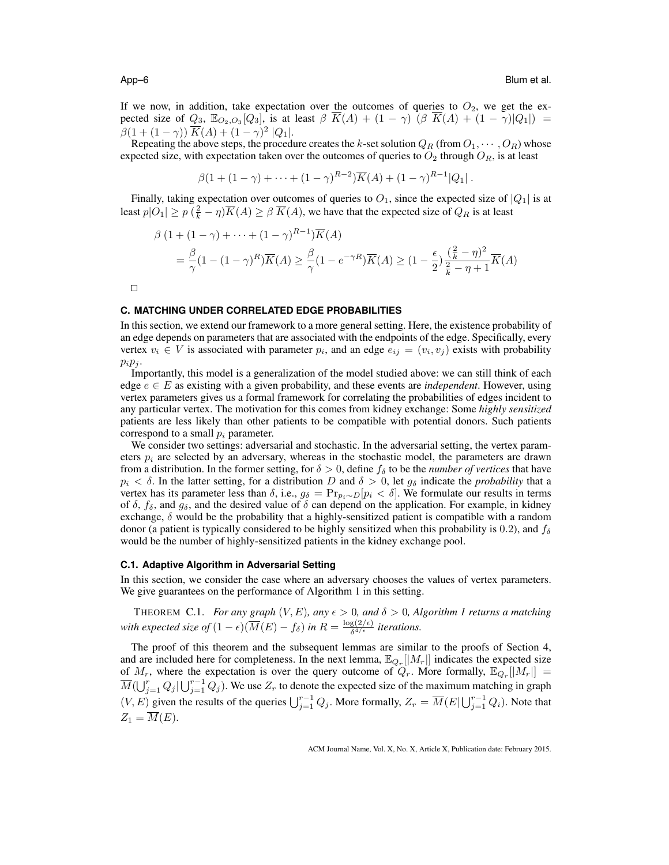If we now, in addition, take expectation over the outcomes of queries to  $O_2$ , we get the expected size of  $Q_3$ ,  $\mathbb{E}_{Q_2,Q_3}[Q_3]$ , is at least  $\beta \overline{K}(A) + (1 - \gamma) (\beta \overline{K}(A) + (1 - \gamma) |Q_1|) =$  $\beta(1 + (1 - \gamma)) \overline{K}(A) + (1 - \gamma)^2 |Q_1|.$ 

Repeating the above steps, the procedure creates the k-set solution  $Q_R$  (from  $O_1, \dots, O_R$ ) whose expected size, with expectation taken over the outcomes of queries to  $O_2$  through  $O_R$ , is at least

$$
\beta(1+(1-\gamma)+\cdots+(1-\gamma)^{R-2})\overline{K}(A)+(1-\gamma)^{R-1}|Q_1|.
$$

Finally, taking expectation over outcomes of queries to  $O_1$ , since the expected size of  $|Q_1|$  is at least  $p|O_1| \ge p \left(\frac{2}{k} - \eta\right) \overline{K}(A) \ge \beta \overline{K}(A)$ , we have that the expected size of  $Q_R$  is at least

$$
\beta (1 + (1 - \gamma) + \dots + (1 - \gamma)^{R-1})\overline{K}(A)
$$
  
=  $\frac{\beta}{\gamma}(1 - (1 - \gamma)^R)\overline{K}(A) \ge \frac{\beta}{\gamma}(1 - e^{-\gamma R})\overline{K}(A) \ge (1 - \frac{\epsilon}{2})\frac{(\frac{2}{k} - \eta)^2}{\frac{2}{k} - \eta + 1}\overline{K}(A)$ 

 $\Box$ 

#### <span id="page-23-0"></span>**C. MATCHING UNDER CORRELATED EDGE PROBABILITIES**

In this section, we extend our framework to a more general setting. Here, the existence probability of an edge depends on parameters that are associated with the endpoints of the edge. Specifically, every vertex  $v_i \in V$  is associated with parameter  $p_i$ , and an edge  $e_{ij} = (v_i, v_j)$  exists with probability  $p_i p_j$ .

Importantly, this model is a generalization of the model studied above: we can still think of each edge  $e \in E$  as existing with a given probability, and these events are *independent*. However, using vertex parameters gives us a formal framework for correlating the probabilities of edges incident to any particular vertex. The motivation for this comes from kidney exchange: Some *highly sensitized* patients are less likely than other patients to be compatible with potential donors. Such patients correspond to a small  $p_i$  parameter.

We consider two settings: adversarial and stochastic. In the adversarial setting, the vertex parameters  $p_i$  are selected by an adversary, whereas in the stochastic model, the parameters are drawn from a distribution. In the former setting, for  $\delta > 0$ , define  $f_{\delta}$  to be the *number of vertices* that have  $p_i < \delta$ . In the latter setting, for a distribution D and  $\delta > 0$ , let  $g_{\delta}$  indicate the *probability* that a vertex has its parameter less than  $\delta$ , i.e.,  $g_{\delta} = \Pr_{p_i \sim D}[p_i < \delta]$ . We formulate our results in terms of  $\delta$ ,  $f_{\delta}$ , and  $g_{\delta}$ , and the desired value of  $\delta$  can depend on the application. For example, in kidney exchange,  $\delta$  would be the probability that a highly-sensitized patient is compatible with a random donor (a patient is typically considered to be highly sensitized when this probability is 0.2), and  $f_{\delta}$ would be the number of highly-sensitized patients in the kidney exchange pool.

#### **C.1. Adaptive Algorithm in Adversarial Setting**

In this section, we consider the case where an adversary chooses the values of vertex parameters. We give guarantees on the performance of Algorithm [1](#page-5-1) in this setting.

<span id="page-23-1"></span>THEOREM C.1. *For any graph*  $(V, E)$ *, any*  $\epsilon > 0$ *, and*  $\delta > 0$ *, Algorithm [1](#page-5-1) returns a matching with expected size of*  $(1 - \epsilon)(\overline{M}(E) - f_{\delta})$  *in*  $R = \frac{\log(2/\epsilon)}{\delta^{4/\epsilon}}$  $rac{g(2/\epsilon)}{\delta^{4/\epsilon}}$  iterations.

The proof of this theorem and the subsequent lemmas are similar to the proofs of Section [4,](#page-5-5) and are included here for completeness. In the next lemma,  $\mathbb{E}_{Q_r}[|M_r|]$  indicates the expected size of  $M_r$ , where the expectation is over the query outcome of  $Q_r$ . More formally,  $\mathbb{E}_{Q_r}^{-1}[|M_r|] =$  $\overline{M}(\bigcup_{j=1}^r Q_j | \bigcup_{j=1}^{r-1} Q_j)$ . We use  $Z_r$  to denote the expected size of the maximum matching in graph  $(V, E)$  given the results of the queries  $\bigcup_{j=1}^{r-1} Q_j$ . More formally,  $Z_r = \overline{M}(E \bigcup_{j=1}^{r-1} Q_i)$ . Note that  $Z_1 = \overline{M}(E).$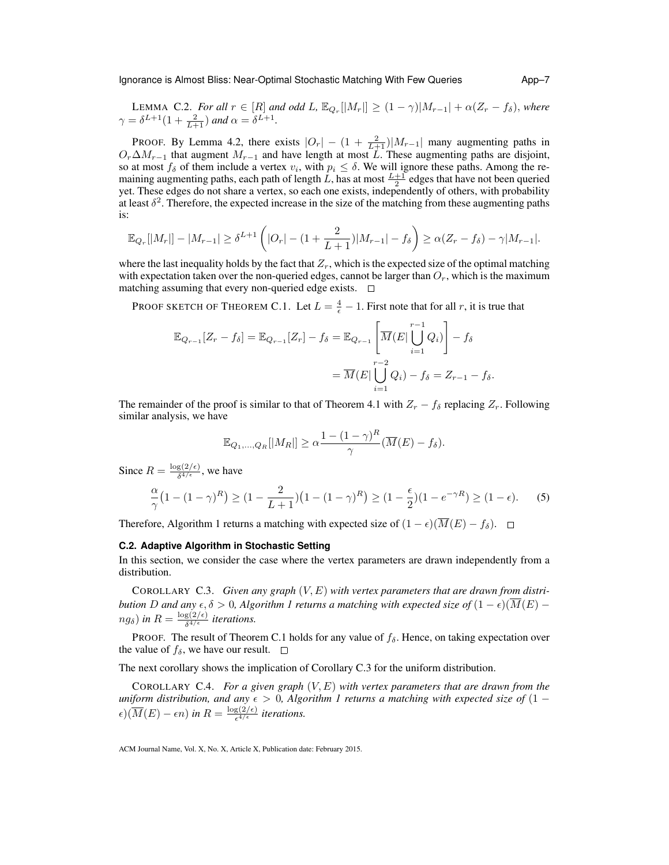Ignorance is Almost Bliss: Near-Optimal Stochastic Matching With Few Queries **App–7** 

LEMMA C.2. *For all*  $r \in [R]$  *and odd L*,  $\mathbb{E}_{Q_r}[[M_r]] \geq (1 - \gamma)|M_{r-1}| + \alpha(Z_r - f_\delta)$ , *where*  $\gamma = \delta^{L+1}(1 + \frac{2}{L+1})$  and  $\alpha = \delta^{L+1}$ .

PROOF. By Lemma [4.2,](#page-6-1) there exists  $|O_r| - (1 + \frac{2}{L+1}) |M_{r-1}|$  many augmenting paths in  $O_r\Delta M_{r-1}$  that augment  $M_{r-1}$  and have length at most L. These augmenting paths are disjoint, so at most  $f_\delta$  of them include a vertex  $v_i$ , with  $p_i \leq \delta$ . We will ignore these paths. Among the remaining augmenting paths, each path of length L, has at most  $\frac{L+1}{2}$  edges that have not been queried yet. These edges do not share a vertex, so each one exists, independently of others, with probability at least  $\delta^2$ . Therefore, the expected increase in the size of the matching from these augmenting paths is:

$$
\mathbb{E}_{Q_r}[|M_r|] - |M_{r-1}| \ge \delta^{L+1} \left( |O_r| - (1 + \frac{2}{L+1})|M_{r-1}| - f_\delta \right) \ge \alpha (Z_r - f_\delta) - \gamma |M_{r-1}|.
$$

where the last inequality holds by the fact that  $Z_r$ , which is the expected size of the optimal matching with expectation taken over the non-queried edges, cannot be larger than  $O_r$ , which is the maximum matching assuming that every non-queried edge exists.  $\Box$ 

PROOF SKETCH OF THEOREM [C.1.](#page-23-1) Let  $L = \frac{4}{\epsilon} - 1$ . First note that for all r, it is true that

$$
\mathbb{E}_{Q_{r-1}}[Z_r - f_\delta] = \mathbb{E}_{Q_{r-1}}[Z_r] - f_\delta = \mathbb{E}_{Q_{r-1}}\left[\overline{M}(E|\bigcup_{i=1}^{r-1} Q_i)\right] - f_\delta
$$
  
=  $\overline{M}(E|\bigcup_{i=1}^{r-2} Q_i) - f_\delta = Z_{r-1} - f_\delta.$ 

The remainder of the proof is similar to that of Theorem [4.1](#page-6-2) with  $Z_r - f_\delta$  replacing  $Z_r$ . Following similar analysis, we have

$$
\mathbb{E}_{Q_1,\ldots,Q_R}[|M_R|] \ge \alpha \frac{1 - (1 - \gamma)^R}{\gamma} (\overline{M}(E) - f_\delta).
$$

Since  $R = \frac{\log(2/\epsilon)}{s^{4/\epsilon}}$  $\frac{g(2/\epsilon)}{\delta^{4/\epsilon}}$ , we have

$$
\frac{\alpha}{\gamma} \left( 1 - (1 - \gamma)^R \right) \ge \left( 1 - \frac{2}{L+1} \right) \left( 1 - (1 - \gamma)^R \right) \ge \left( 1 - \frac{\epsilon}{2} \right) \left( 1 - e^{-\gamma R} \right) \ge \left( 1 - \epsilon \right). \tag{5}
$$

Therefore, Algorithm [1](#page-5-1) returns a matching with expected size of  $(1 - \epsilon)(\overline{M}(E) - f_\delta)$ .  $\Box$ 

# **C.2. Adaptive Algorithm in Stochastic Setting**

<span id="page-24-0"></span>In this section, we consider the case where the vertex parameters are drawn independently from a distribution.

COROLLARY C.3. *Given any graph* (V, E) *with vertex parameters that are drawn from distribution* D and any  $\epsilon, \delta > 0$ , Algorithm [1](#page-5-1) returns a matching with expected size of  $(1 - \epsilon)(\overline{M}(E) - \epsilon)$  $ng_\delta)$  in  $R = \frac{\log(2/\epsilon)}{\delta^{4/\epsilon}}$  $rac{g(2/\epsilon)}{\delta^{4/\epsilon}}$  iterations.

PROOF. The result of Theorem [C.1](#page-23-1) holds for any value of  $f_{\delta}$ . Hence, on taking expectation over the value of  $f_\delta$ , we have our result.  $\Box$ 

The next corollary shows the implication of Corollary [C.3](#page-24-0) for the uniform distribution.

COROLLARY C.4. *For a given graph* (V, E) *with vertex parameters that are drawn from the uniform distribution, and any*  $\epsilon > 0$ , Algorithm [1](#page-5-1) returns a matching with expected size of  $(1 \epsilon$ )( $\overline{M}(E) - \epsilon n$ ) in  $R = \frac{\log(2/\epsilon)}{\epsilon^{4/\epsilon}}$  $rac{g(2/\epsilon)}{\epsilon^{4/\epsilon}}$  iterations.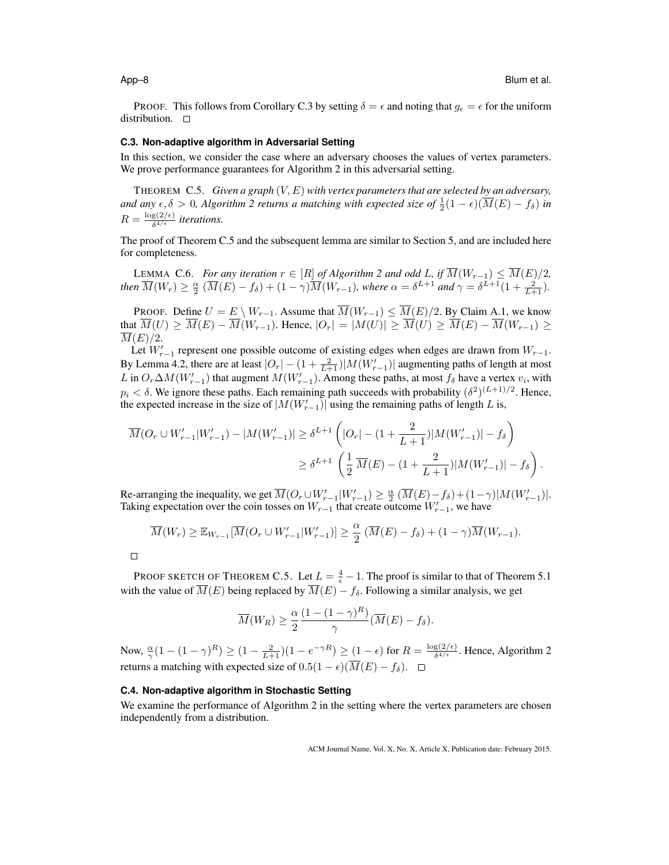PROOF. This follows from Corollary [C.3](#page-24-0) by setting  $\delta = \epsilon$  and noting that  $g_{\epsilon} = \epsilon$  for the uniform distribution.  $\square$ 

# **C.3. Non-adaptive algorithm in Adversarial Setting**

<span id="page-25-0"></span>In this section, we consider the case where an adversary chooses the values of vertex parameters. We prove performance guarantees for Algorithm [2](#page-8-0) in this adversarial setting.

THEOREM C.5. *Given a graph* (V, E) *with vertex parameters that are selected by an adversary, and any*  $\epsilon, \delta > 0$ , Algorithm [2](#page-8-0) returns a matching with expected size of  $\frac{1}{2}(1-\epsilon)(\overline{M}(E)-f_{\delta})$  in  $R = \frac{\log(2/\epsilon)}{84/\epsilon}$  $rac{g(2/\epsilon)}{\delta^{4/\epsilon}}$  iterations.

The proof of Theorem [C.5](#page-25-0) and the subsequent lemma are similar to Section [5,](#page-8-2) and are included here for completeness.

LEMMA C.6. *For any iteration*  $r \in [R]$  *of Algorithm* [2](#page-8-0) *and odd L, if*  $\overline{M}(W_{r-1}) \le \overline{M}(E)/2$ , *then*  $\overline{M}(W_r) \geq \frac{\alpha}{2} \left( \overline{M}(E) - f_\delta \right) + (1 - \gamma) \overline{M}(W_{r-1})$ *, where*  $\alpha = \delta^{L+1}$  and  $\gamma = \delta^{L+1}(1 + \frac{2}{L+1})$ *.* 

PROOF. Define  $U = E \setminus W_{r-1}$ . Assume that  $\overline{M}(W_{r-1}) \leq \overline{M}(E)/2$ . By Claim [A.1,](#page-18-1) we know that  $\overline{M}(U) \ge \overline{M}(E) - \overline{M}(W_{r-1})$ . Hence,  $|O_r| = |M(U)| \ge \overline{M}(U) \ge \overline{M}(E) - \overline{M}(W_{r-1}) \ge$  $\overline{M}(E)/2.$ 

Let  $W'_{r-1}$  represent one possible outcome of existing edges when edges are drawn from  $W_{r-1}$ . By Lemma [4.2,](#page-6-1) there are at least  $|O_r| - (1 + \frac{2}{L+1}) |M(W_{r-1}')|$  augmenting paths of length at most L in  $O_r \Delta M(W'_{r-1})$  that augment  $M(W'_{r-1})$ . Among these paths, at most  $f_\delta$  have a vertex  $v_i$ , with  $p_i < \delta$ . We ignore these paths. Each remaining path succeeds with probability  $(\delta^2)^{(L+1)/2}$ . Hence, the expected increase in the size of  $|M(W'_{r-1})|$  using the remaining paths of length L is,

$$
\overline{M}(O_r \cup W'_{r-1}|W'_{r-1}) - |M(W'_{r-1})| \ge \delta^{L+1} \left( |O_r| - (1 + \frac{2}{L+1})|M(W'_{r-1})| - f_\delta \right)
$$
  

$$
\ge \delta^{L+1} \left( \frac{1}{2} \overline{M}(E) - (1 + \frac{2}{L+1})|M(W'_{r-1})| - f_\delta \right).
$$

Re-arranging the inequality, we get  $\overline{M}(O_r \cup W'_{r-1} | W'_{r-1}) \geq \frac{\alpha}{2} (\overline{M}(E) - f_\delta) + (1 - \gamma)|M(W'_{r-1})|$ . Taking expectation over the coin tosses on  $W_{r-1}$  that create outcome  $W'_{r-1}$ , we have

$$
\overline{M}(W_r) \geq \mathbb{E}_{W_{r-1}}[\overline{M}(O_r \cup W'_{r-1} | W'_{r-1})] \geq \frac{\alpha}{2} \left( \overline{M}(E) - f_\delta \right) + (1 - \gamma) \overline{M}(W_{r-1}).
$$

 $\Box$ 

PROOF SKETCH OF THEOREM [C.5.](#page-25-0) Let  $L = \frac{4}{\epsilon} - 1$ . The proof is similar to that of Theorem [5.1](#page-8-1) with the value of  $\overline{M}(E)$  being replaced by  $\overline{M}(E) - f_{\delta}$ . Following a similar analysis, we get

<span id="page-25-1"></span>
$$
\overline{M}(W_R) \ge \frac{\alpha}{2} \frac{(1 - (1 - \gamma)^R)}{\gamma} (\overline{M}(E) - f_\delta).
$$

Now,  $\frac{\alpha}{\gamma}(1-(1-\gamma)^R) \ge (1-\frac{2}{L+1})(1-e^{-\gamma R}) \ge (1-\epsilon)$  for  $R = \frac{\log(2/\epsilon)}{\delta^{4/\epsilon}}$  $\frac{g(2/\epsilon)}{\delta^{4/\epsilon}}$ . Hence, Algorithm [2](#page-8-0) returns a matching with expected size of  $0.5(1 - \epsilon)(\overline{M}(E) - f_\delta)$ . □

## **C.4. Non-adaptive algorithm in Stochastic Setting**

We examine the performance of Algorithm [2](#page-8-0) in the setting where the vertex parameters are chosen independently from a distribution.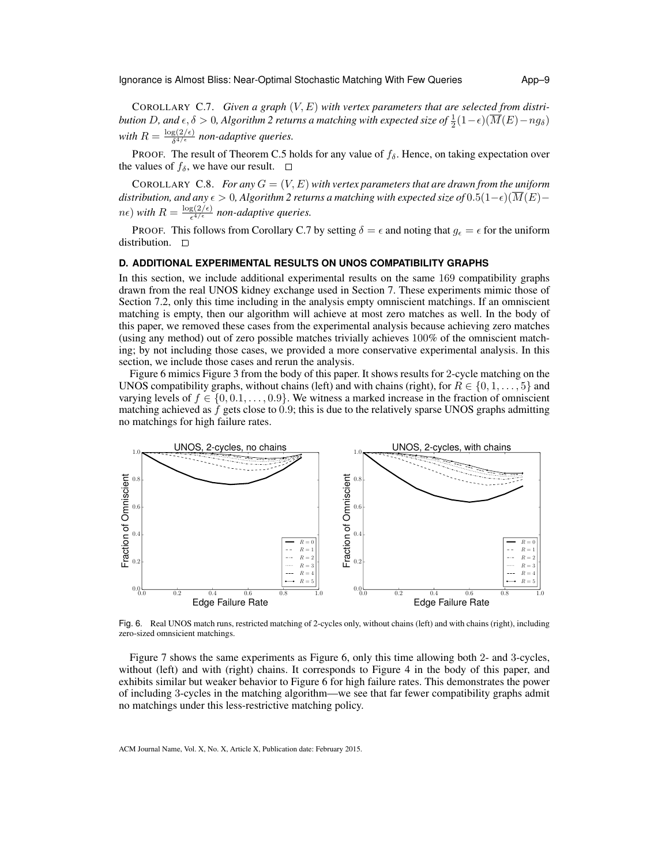COROLLARY C.7. *Given a graph* (V, E) *with vertex parameters that are selected from distri*bution D, and  $\epsilon, \delta > 0$ , Algorithm [2](#page-8-0) returns a matching with expected size of  $\frac{1}{2}(1-\epsilon)(\overline{M}(E)-ng_\delta)$ *with*  $R = \frac{\log(2/\epsilon)}{\delta^{4/\epsilon}}$  $rac{g(2/\epsilon)}{\delta^{4/\epsilon}}$  non-adaptive queries.

PROOF. The result of Theorem [C.5](#page-25-0) holds for any value of  $f_{\delta}$ . Hence, on taking expectation over the values of  $f_\delta$ , we have our result.  $\Box$ 

COROLLARY C.8. *For any*  $G = (V, E)$  *with vertex parameters that are drawn from the uniform distribution, and any*  $\epsilon > 0$ , Algorithm [2](#page-8-0) returns a matching with expected size of  $0.5(1-\epsilon)(\overline{M}(E)$  $n\epsilon$ ) *with*  $R = \frac{\log(2/\epsilon)}{\epsilon^{4/\epsilon}}$  $\frac{g(2/\epsilon)}{\epsilon^{4/\epsilon}}$  non-adaptive queries.

PROOF. This follows from Corollary [C.7](#page-25-1) by setting  $\delta = \epsilon$  and noting that  $g_{\epsilon} = \epsilon$  for the uniform distribution.  $\Box$ 

# <span id="page-26-0"></span>**D. ADDITIONAL EXPERIMENTAL RESULTS ON UNOS COMPATIBILITY GRAPHS**

In this section, we include additional experimental results on the same 169 compatibility graphs drawn from the real UNOS kidney exchange used in Section [7.](#page-12-0) These experiments mimic those of Section [7.2,](#page-13-1) only this time including in the analysis empty omniscient matchings. If an omniscient matching is empty, then our algorithm will achieve at most zero matches as well. In the body of this paper, we removed these cases from the experimental analysis because achieving zero matches (using any method) out of zero possible matches trivially achieves 100% of the omniscient matching; by not including those cases, we provided a more conservative experimental analysis. In this section, we include those cases and rerun the analysis.

Figure [6](#page-26-1) mimics Figure [3](#page-14-0) from the body of this paper. It shows results for 2-cycle matching on the UNOS compatibility graphs, without chains (left) and with chains (right), for  $R \in \{0, 1, \ldots, 5\}$  and varying levels of  $f \in \{0, 0.1, \ldots, 0.9\}$ . We witness a marked increase in the fraction of omniscient matching achieved as  $f$  gets close to 0.9; this is due to the relatively sparse UNOS graphs admitting no matchings for high failure rates.



<span id="page-26-1"></span>Fig. 6. Real UNOS match runs, restricted matching of 2-cycles only, without chains (left) and with chains (right), including zero-sized omnsicient matchings.

Figure [7](#page-27-0) shows the same experiments as Figure [6,](#page-26-1) only this time allowing both 2- and 3-cycles, without (left) and with (right) chains. It corresponds to Figure [4](#page-14-1) in the body of this paper, and exhibits similar but weaker behavior to Figure [6](#page-26-1) for high failure rates. This demonstrates the power of including 3-cycles in the matching algorithm—we see that far fewer compatibility graphs admit no matchings under this less-restrictive matching policy.